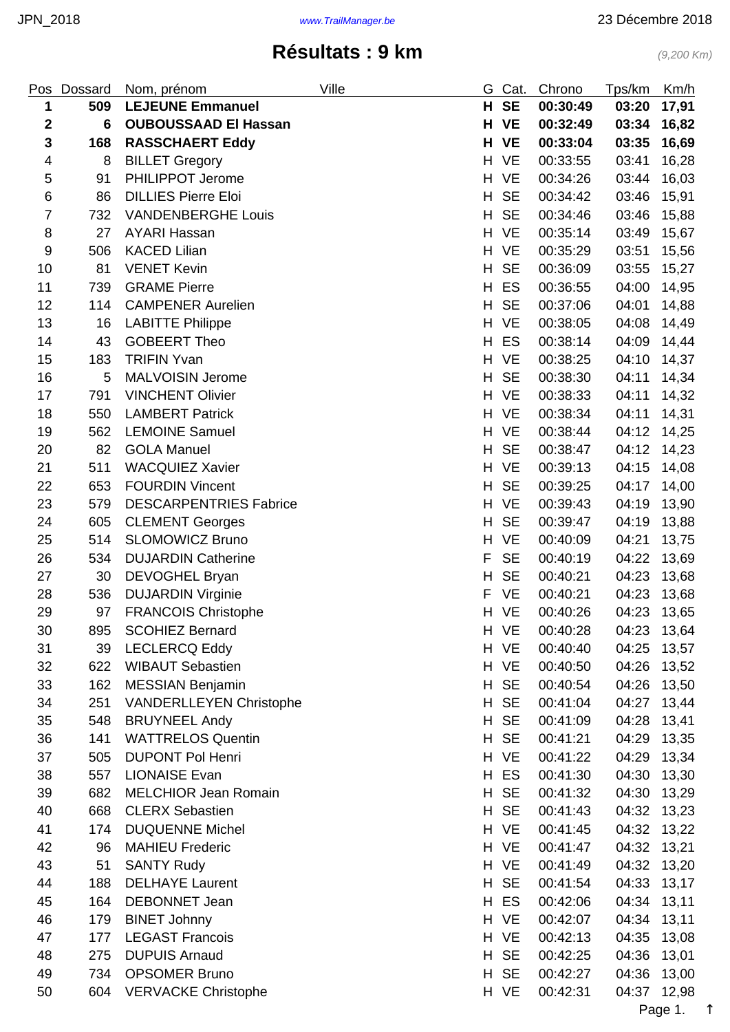#### <span id="page-0-0"></span>Pos Dossard Nom prénom **Ville** Ville G Cat. Chrono Tps/km Km/h **509 LEJEUNE Emmanuel H SE 00:30:49 03:20 17,91 6 OUBOUSSAAD El Hassan H VE 00:32:49 03:34 16,82 168 RASSCHAERT Eddy H VE 00:33:04 03:35 16,69** 8 BILLET Gregory H VE 00:33:55 03:41 16,28 91 PHILIPPOT Jerome H VE 00:34:26 03:44 16,03 86 DILLIES Pierre Eloi H SE 00:34:42 03:46 15,91 732 VANDENBERGHE Louis H SE 00:34:46 03:46 15,88 8 27 AYARI Hassan H VE 00:35:14 03:49 15,67 9 506 KACED Lilian 15.56 16 16 17 17 18 18 19 19 10:35:29 13:51 15:56 10 81 VENET Kevin **H SE 00:36:09 03:55 15,27**  739 GRAME Pierre H ES 00:36:55 04:00 14,95 114 CAMPENER Aurelien H SE 00:37:06 04:01 14,88 16 LABITTE Philippe H VE 00:38:05 04:08 14,49 14 43 GOBEERT Theo H ES 00:38:14 04:09 14,44 183 TRIFIN Yvan H VE 00:38:25 04:10 14,37 16 5 MALVOISIN Jerome **H SE 00:38:30 04:11 14,34**  791 VINCHENT Olivier H VE 00:38:33 04:11 14,32 550 LAMBERT Patrick H VE 00:38:34 04:11 14,31 562 LEMOINE Samuel H VE 00:38:44 04:12 14,25 82 GOLA Manuel H SE 00:38:47 04:12 14,23 511 WACQUIEZ Xavier H VE 00:39:13 04:15 14,08 653 FOURDIN Vincent H SE 00:39:25 04:17 14,00 579 DESCARPENTRIES Fabrice H VE 00:39:43 04:19 13,90 24 605 CLEMENT Georges **H SE 00:39:47** 04:19 13,88 514 SLOMOWICZ Bruno H VE 00:40:09 04:21 13,75 534 DUJARDIN Catherine F SE 00:40:19 04:22 13,69 30 DEVOGHEL Bryan H SE 00:40:21 04:23 13,68 536 DUJARDIN Virginie F VE 00:40:21 04:23 13,68 29 97 FRANCOIS Christophe H VE 00:40:26 04:23 13,65 895 SCOHIEZ Bernard H VE 00:40:28 04:23 13,64 39 LECLERCQ Eddy H VE 00:40:40 04:25 13,57 622 WIBAUT Sebastien H VE 00:40:50 04:26 13,52 162 MESSIAN Benjamin H SE 00:40:54 04:26 13,50 251 VANDERLLEYEN Christophe H SE 00:41:04 04:27 13,44 35 548 BRUYNEEL Andy **H SE 00:41:09 04:28 13,41**  141 WATTRELOS Quentin H SE 00:41:21 04:29 13,35 505 DUPONT Pol Henri H VE 00:41:22 04:29 13,34 557 LIONAISE Evan H ES 00:41:30 04:30 13,30

39 682 MELCHIOR Jean Romain **H SE** 00:41:32 04:30 13,29 668 CLERX Sebastien H SE 00:41:43 04:32 13,23 174 DUQUENNE Michel H VE 00:41:45 04:32 13,22 96 MAHIEU Frederic H VE 00:41:47 04:32 13,21 51 SANTY Rudy H VE 00:41:49 04:32 13,20 188 DELHAYE Laurent H SE 00:41:54 04:33 13,17 164 DEBONNET Jean H ES 00:42:06 04:34 13,11 179 BINET Johnny H VE 00:42:07 04:34 13,11 177 LEGAST Francois H VE 00:42:13 04:35 13,08 275 DUPUIS Arnaud H SE 00:42:25 04:36 13,01

|    |                         |                           |             | $P_{0.000}$ 1 |
|----|-------------------------|---------------------------|-------------|---------------|
| 50 | 604 VERVACKE Christophe | H VE 00:42:31             | 04:37 12,98 |               |
| 49 | 734 OPSOMER Bruno       | H SE 00:42:27 04:36 13,00 |             |               |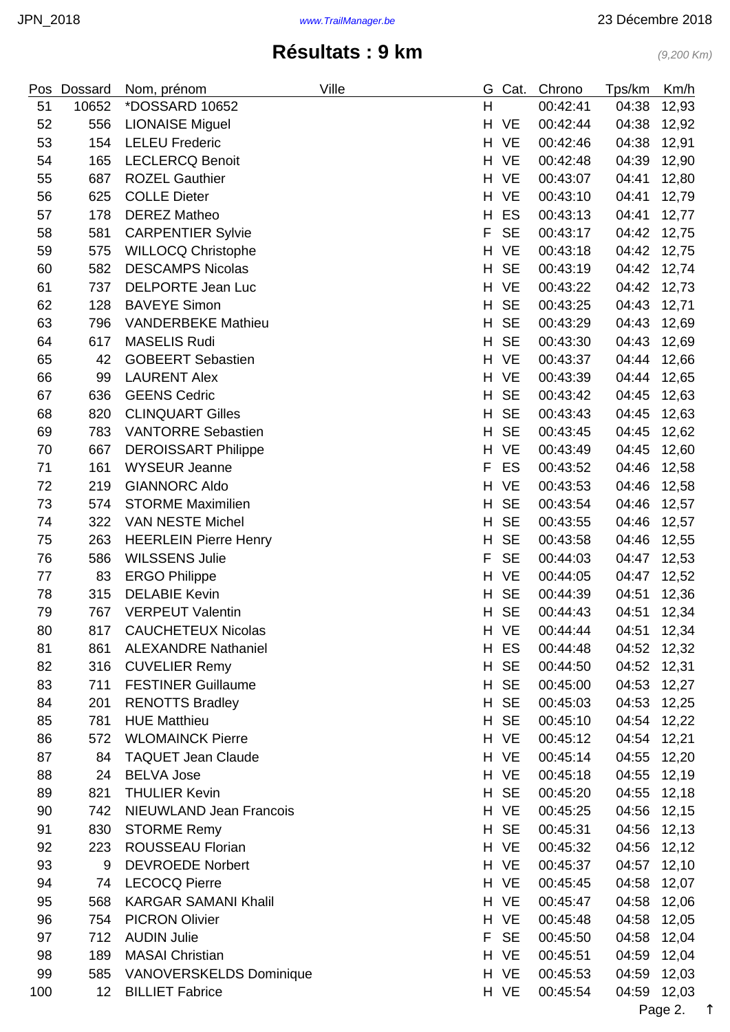| Pos | Dossard         | Nom, prénom                    | Ville | G  | Cat.      | Chrono   | Tps/km | Km/h  |
|-----|-----------------|--------------------------------|-------|----|-----------|----------|--------|-------|
| 51  | 10652           | <i><b>*DOSSARD 10652</b></i>   |       | H  |           | 00:42:41 | 04:38  | 12,93 |
| 52  | 556             | <b>LIONAISE Miguel</b>         |       | H  | <b>VE</b> | 00:42:44 | 04:38  | 12,92 |
| 53  | 154             | <b>LELEU Frederic</b>          |       | H. | <b>VE</b> | 00:42:46 | 04:38  | 12,91 |
| 54  | 165             | <b>LECLERCQ Benoit</b>         |       |    | H VE      | 00:42:48 | 04:39  | 12,90 |
| 55  | 687             | <b>ROZEL Gauthier</b>          |       | H  | <b>VE</b> | 00:43:07 | 04:41  | 12,80 |
| 56  | 625             | <b>COLLE Dieter</b>            |       | H. | <b>VE</b> | 00:43:10 | 04:41  | 12,79 |
| 57  | 178             | <b>DEREZ Matheo</b>            |       | H  | ES        | 00:43:13 | 04:41  | 12,77 |
| 58  | 581             | <b>CARPENTIER Sylvie</b>       |       | F  | <b>SE</b> | 00:43:17 | 04:42  | 12,75 |
| 59  | 575             | <b>WILLOCQ Christophe</b>      |       | H  | <b>VE</b> | 00:43:18 | 04:42  | 12,75 |
| 60  | 582             | <b>DESCAMPS Nicolas</b>        |       | H  | <b>SE</b> | 00:43:19 | 04:42  | 12,74 |
| 61  | 737             | <b>DELPORTE Jean Luc</b>       |       | H  | <b>VE</b> | 00:43:22 | 04:42  | 12,73 |
| 62  | 128             | <b>BAVEYE Simon</b>            |       | H  | <b>SE</b> | 00:43:25 | 04:43  | 12,71 |
| 63  | 796             | <b>VANDERBEKE Mathieu</b>      |       | H  | <b>SE</b> | 00:43:29 | 04:43  | 12,69 |
| 64  | 617             | <b>MASELIS Rudi</b>            |       | H  | <b>SE</b> | 00:43:30 | 04:43  | 12,69 |
| 65  | 42              | <b>GOBEERT Sebastien</b>       |       | H. | <b>VE</b> | 00:43:37 | 04:44  | 12,66 |
| 66  | 99              | <b>LAURENT Alex</b>            |       | H  | <b>VE</b> | 00:43:39 | 04:44  | 12,65 |
| 67  | 636             | <b>GEENS Cedric</b>            |       | H  | <b>SE</b> | 00:43:42 | 04:45  | 12,63 |
| 68  | 820             | <b>CLINQUART Gilles</b>        |       | H  | <b>SE</b> | 00:43:43 | 04:45  | 12,63 |
| 69  | 783             | <b>VANTORRE Sebastien</b>      |       | H  | <b>SE</b> | 00:43:45 | 04:45  | 12,62 |
| 70  | 667             | <b>DEROISSART Philippe</b>     |       | H  | <b>VE</b> | 00:43:49 | 04:45  | 12,60 |
| 71  | 161             | <b>WYSEUR Jeanne</b>           |       | F  | ES        | 00:43:52 | 04:46  | 12,58 |
| 72  | 219             | <b>GIANNORC Aldo</b>           |       | H  | <b>VE</b> | 00:43:53 | 04:46  | 12,58 |
| 73  | 574             | <b>STORME Maximilien</b>       |       | H  | <b>SE</b> | 00:43:54 | 04:46  | 12,57 |
| 74  | 322             | VAN NESTE Michel               |       | H  | <b>SE</b> | 00:43:55 | 04:46  | 12,57 |
| 75  | 263             | <b>HEERLEIN Pierre Henry</b>   |       | H  | <b>SE</b> | 00:43:58 | 04:46  | 12,55 |
| 76  | 586             | <b>WILSSENS Julie</b>          |       | F  | <b>SE</b> | 00:44:03 | 04:47  | 12,53 |
| 77  | 83              | <b>ERGO Philippe</b>           |       | H  | <b>VE</b> | 00:44:05 | 04:47  | 12,52 |
| 78  | 315             | <b>DELABIE Kevin</b>           |       | H  | <b>SE</b> | 00:44:39 | 04:51  | 12,36 |
| 79  | 767             | <b>VERPEUT Valentin</b>        |       | H  | <b>SE</b> | 00:44:43 | 04:51  | 12,34 |
| 80  | 817             | <b>CAUCHETEUX Nicolas</b>      |       | H. | <b>VE</b> | 00:44:44 | 04:51  | 12,34 |
| 81  | 861             | <b>ALEXANDRE Nathaniel</b>     |       | H  | ES        | 00:44:48 | 04:52  | 12,32 |
| 82  | 316             | <b>CUVELIER Remy</b>           |       |    | H SE      | 00:44:50 | 04:52  | 12,31 |
| 83  | 711             | <b>FESTINER Guillaume</b>      |       | H  | <b>SE</b> | 00:45:00 | 04:53  | 12,27 |
| 84  | 201             | <b>RENOTTS Bradley</b>         |       | H  | <b>SE</b> | 00:45:03 | 04:53  | 12,25 |
| 85  | 781             | <b>HUE Matthieu</b>            |       | H  | <b>SE</b> | 00:45:10 | 04:54  | 12,22 |
| 86  | 572             | <b>WLOMAINCK Pierre</b>        |       |    | H VE      | 00:45:12 | 04:54  | 12,21 |
| 87  | 84              | <b>TAQUET Jean Claude</b>      |       |    | H VE      | 00:45:14 | 04:55  | 12,20 |
| 88  | 24              | <b>BELVA Jose</b>              |       |    | H VE      | 00:45:18 | 04:55  | 12,19 |
| 89  | 821             | <b>THULIER Kevin</b>           |       | H  | <b>SE</b> | 00:45:20 | 04:55  | 12,18 |
| 90  | 742             | NIEUWLAND Jean Francois        |       | H. | <b>VE</b> | 00:45:25 | 04:56  | 12,15 |
| 91  | 830             | <b>STORME Remy</b>             |       | H. | <b>SE</b> | 00:45:31 | 04:56  | 12,13 |
| 92  | 223             | ROUSSEAU Florian               |       | H  | <b>VE</b> | 00:45:32 | 04:56  | 12,12 |
| 93  | 9               | <b>DEVROEDE Norbert</b>        |       |    | H VE      | 00:45:37 | 04:57  | 12,10 |
| 94  | 74              | <b>LECOCQ Pierre</b>           |       |    | H VE      | 00:45:45 | 04:58  | 12,07 |
| 95  | 568             | <b>KARGAR SAMANI Khalil</b>    |       |    | H VE      | 00:45:47 | 04:58  | 12,06 |
| 96  | 754             | <b>PICRON Olivier</b>          |       |    | H VE      | 00:45:48 | 04:58  | 12,05 |
| 97  | 712             | <b>AUDIN Julie</b>             |       | F  | <b>SE</b> | 00:45:50 | 04:58  | 12,04 |
| 98  | 189             | <b>MASAI Christian</b>         |       |    | H VE      | 00:45:51 | 04:59  | 12,04 |
| 99  | 585             | <b>VANOVERSKELDS Dominique</b> |       |    | H VE      | 00:45:53 | 04:59  | 12,03 |
| 100 | 12 <sub>2</sub> | <b>BILLIET Fabrice</b>         |       |    | H VE      | 00:45:54 | 04:59  | 12,03 |

Page 2. [↑](#page-0-0)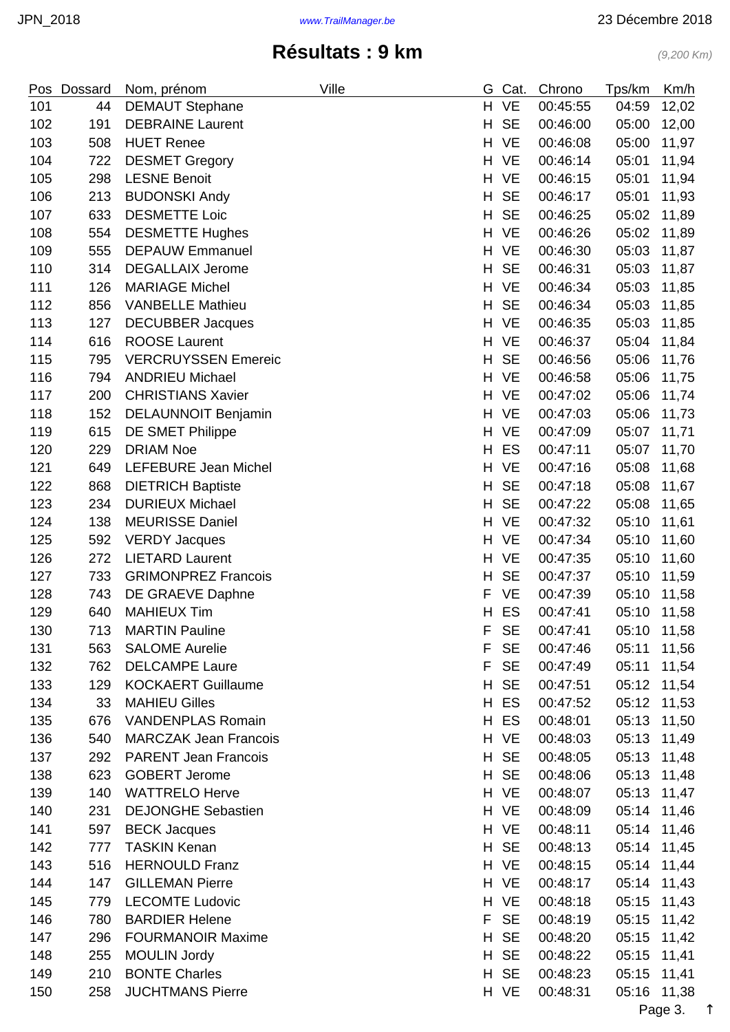| Pos | Dossard | Nom, prénom                  | Ville | G  | Cat.      | Chrono   | Tps/km | Km/h  |
|-----|---------|------------------------------|-------|----|-----------|----------|--------|-------|
| 101 | 44      | <b>DEMAUT Stephane</b>       |       | H. | <b>VE</b> | 00:45:55 | 04:59  | 12,02 |
| 102 | 191     | <b>DEBRAINE Laurent</b>      |       | H  | <b>SE</b> | 00:46:00 | 05:00  | 12,00 |
| 103 | 508     | <b>HUET Renee</b>            |       | H. | <b>VE</b> | 00:46:08 | 05:00  | 11,97 |
| 104 | 722     | <b>DESMET Gregory</b>        |       | H  | <b>VE</b> | 00:46:14 | 05:01  | 11,94 |
| 105 | 298     | <b>LESNE Benoit</b>          |       | H  | <b>VE</b> | 00:46:15 | 05:01  | 11,94 |
| 106 | 213     | <b>BUDONSKI Andy</b>         |       | H  | <b>SE</b> | 00:46:17 | 05:01  | 11,93 |
| 107 | 633     | <b>DESMETTE Loic</b>         |       | H  | <b>SE</b> | 00:46:25 | 05:02  | 11,89 |
| 108 | 554     | <b>DESMETTE Hughes</b>       |       | H  | <b>VE</b> | 00:46:26 | 05:02  | 11,89 |
| 109 | 555     | <b>DEPAUW Emmanuel</b>       |       | H  | <b>VE</b> | 00:46:30 | 05:03  | 11,87 |
| 110 | 314     | <b>DEGALLAIX Jerome</b>      |       | H  | <b>SE</b> | 00:46:31 | 05:03  | 11,87 |
| 111 | 126     | <b>MARIAGE Michel</b>        |       | H  | <b>VE</b> | 00:46:34 | 05:03  | 11,85 |
| 112 | 856     | <b>VANBELLE Mathieu</b>      |       | H  | <b>SE</b> | 00:46:34 | 05:03  | 11,85 |
| 113 | 127     | <b>DECUBBER Jacques</b>      |       | H  | <b>VE</b> | 00:46:35 | 05:03  | 11,85 |
| 114 | 616     | <b>ROOSE Laurent</b>         |       | H  | <b>VE</b> | 00:46:37 | 05:04  | 11,84 |
| 115 | 795     | <b>VERCRUYSSEN Emereic</b>   |       | H  | <b>SE</b> | 00:46:56 | 05:06  | 11,76 |
| 116 | 794     | <b>ANDRIEU Michael</b>       |       | H  | <b>VE</b> | 00:46:58 | 05:06  | 11,75 |
| 117 | 200     | <b>CHRISTIANS Xavier</b>     |       | H  | <b>VE</b> | 00:47:02 | 05:06  | 11,74 |
| 118 | 152     | <b>DELAUNNOIT Benjamin</b>   |       | H  | <b>VE</b> | 00:47:03 | 05:06  | 11,73 |
| 119 | 615     | DE SMET Philippe             |       | H  | <b>VE</b> | 00:47:09 | 05:07  | 11,71 |
| 120 | 229     | <b>DRIAM Noe</b>             |       | H  | ES        | 00:47:11 | 05:07  | 11,70 |
| 121 | 649     | LEFEBURE Jean Michel         |       | H  | <b>VE</b> | 00:47:16 | 05:08  | 11,68 |
| 122 | 868     | <b>DIETRICH Baptiste</b>     |       | H  | <b>SE</b> | 00:47:18 | 05:08  | 11,67 |
| 123 | 234     | <b>DURIEUX Michael</b>       |       | H  | <b>SE</b> | 00:47:22 | 05:08  | 11,65 |
| 124 | 138     | <b>MEURISSE Daniel</b>       |       | H  | <b>VE</b> | 00:47:32 | 05:10  | 11,61 |
| 125 | 592     | <b>VERDY Jacques</b>         |       | H. | <b>VE</b> | 00:47:34 | 05:10  | 11,60 |
| 126 | 272     | <b>LIETARD Laurent</b>       |       | H  | <b>VE</b> | 00:47:35 | 05:10  | 11,60 |
| 127 | 733     | <b>GRIMONPREZ Francois</b>   |       | H  | <b>SE</b> | 00:47:37 | 05:10  | 11,59 |
| 128 | 743     | DE GRAEVE Daphne             |       | F  | VE        | 00:47:39 | 05:10  | 11,58 |
| 129 | 640     | <b>MAHIEUX Tim</b>           |       | H  | ES        | 00:47:41 | 05:10  | 11,58 |
| 130 | 713     | <b>MARTIN Pauline</b>        |       | F  | <b>SE</b> | 00:47:41 | 05:10  | 11,58 |
| 131 | 563     | <b>SALOME Aurelie</b>        |       | F  | <b>SE</b> | 00:47:46 | 05:11  | 11,56 |
| 132 | 762     | <b>DELCAMPE Laure</b>        |       | F  | <b>SE</b> | 00:47:49 | 05:11  | 11,54 |
| 133 | 129     | <b>KOCKAERT Guillaume</b>    |       | H  | <b>SE</b> | 00:47:51 | 05:12  | 11,54 |
| 134 | 33      | <b>MAHIEU Gilles</b>         |       | H  | ES        | 00:47:52 | 05:12  | 11,53 |
| 135 | 676     | <b>VANDENPLAS Romain</b>     |       | H  | ES        | 00:48:01 | 05:13  | 11,50 |
| 136 | 540     | <b>MARCZAK Jean Francois</b> |       |    | H VE      | 00:48:03 | 05:13  | 11,49 |
| 137 | 292     | <b>PARENT Jean Francois</b>  |       | H  | <b>SE</b> | 00:48:05 | 05:13  | 11,48 |
| 138 | 623     | <b>GOBERT Jerome</b>         |       | H  | <b>SE</b> | 00:48:06 | 05:13  | 11,48 |
| 139 | 140     | <b>WATTRELO Herve</b>        |       | H  | <b>VE</b> | 00:48:07 | 05:13  | 11,47 |
| 140 | 231     | <b>DEJONGHE Sebastien</b>    |       |    | H VE      | 00:48:09 | 05:14  | 11,46 |
| 141 | 597     | <b>BECK Jacques</b>          |       |    | H VE      | 00:48:11 | 05:14  | 11,46 |
| 142 | 777     | <b>TASKIN Kenan</b>          |       | H  | <b>SE</b> | 00:48:13 | 05:14  | 11,45 |
| 143 | 516     | <b>HERNOULD Franz</b>        |       |    | H VE      | 00:48:15 | 05:14  | 11,44 |
| 144 | 147     | <b>GILLEMAN Pierre</b>       |       | H. | VE        | 00:48:17 | 05:14  | 11,43 |
| 145 | 779     | <b>LECOMTE Ludovic</b>       |       |    | H VE      | 00:48:18 | 05:15  | 11,43 |
| 146 | 780     | <b>BARDIER Helene</b>        |       | F  | <b>SE</b> | 00:48:19 | 05:15  | 11,42 |
| 147 | 296     | <b>FOURMANOIR Maxime</b>     |       | H  | <b>SE</b> | 00:48:20 | 05:15  | 11,42 |
| 148 | 255     | <b>MOULIN Jordy</b>          |       | H  | <b>SE</b> | 00:48:22 | 05:15  | 11,41 |
| 149 | 210     | <b>BONTE Charles</b>         |       | H  | <b>SE</b> | 00:48:23 | 05:15  | 11,41 |
| 150 | 258     | <b>JUCHTMANS Pierre</b>      |       |    | H VE      | 00:48:31 | 05:16  | 11,38 |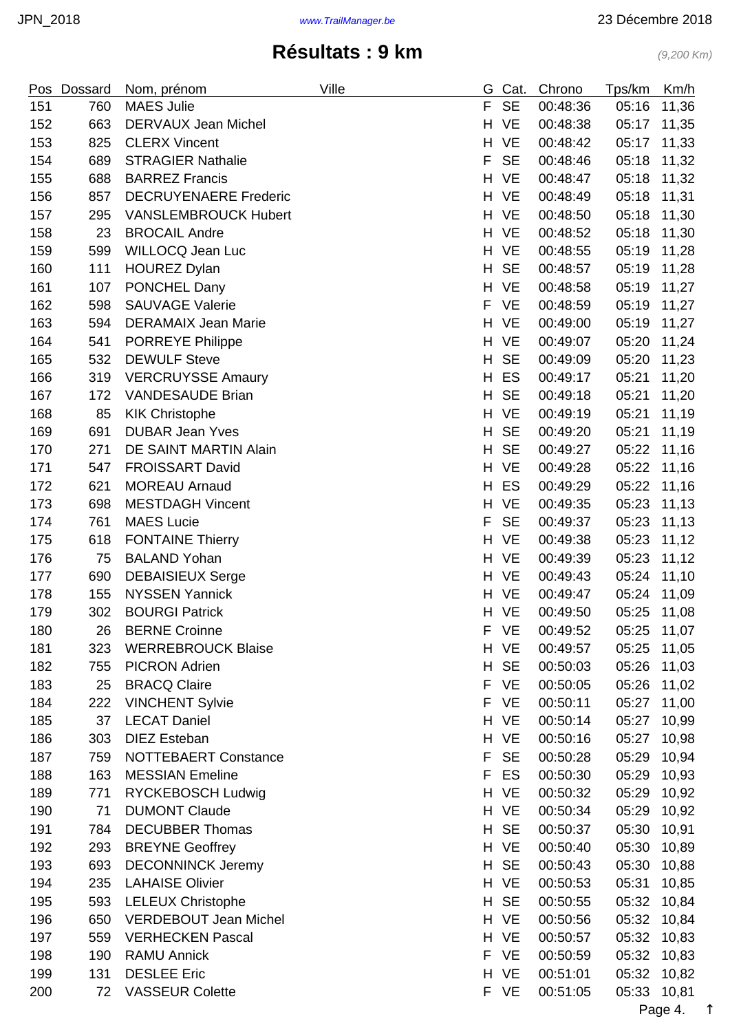| Pos | <b>Dossard</b> | Nom, prénom                  | Ville | G. | Cat.      | Chrono   | Tps/km | Km/h  |
|-----|----------------|------------------------------|-------|----|-----------|----------|--------|-------|
| 151 | 760            | <b>MAES Julie</b>            |       | F  | <b>SE</b> | 00:48:36 | 05:16  | 11,36 |
| 152 | 663            | <b>DERVAUX Jean Michel</b>   |       | H  | <b>VE</b> | 00:48:38 | 05:17  | 11,35 |
| 153 | 825            | <b>CLERX Vincent</b>         |       | H  | <b>VE</b> | 00:48:42 | 05:17  | 11,33 |
| 154 | 689            | <b>STRAGIER Nathalie</b>     |       | F  | <b>SE</b> | 00:48:46 | 05:18  | 11,32 |
| 155 | 688            | <b>BARREZ Francis</b>        |       | H  | <b>VE</b> | 00:48:47 | 05:18  | 11,32 |
| 156 | 857            | <b>DECRUYENAERE Frederic</b> |       | H  | <b>VE</b> | 00:48:49 | 05:18  | 11,31 |
| 157 | 295            | <b>VANSLEMBROUCK Hubert</b>  |       | H. | <b>VE</b> | 00:48:50 | 05:18  | 11,30 |
| 158 | 23             | <b>BROCAIL Andre</b>         |       | H. | <b>VE</b> | 00:48:52 | 05:18  | 11,30 |
| 159 | 599            | WILLOCQ Jean Luc             |       | H  | <b>VE</b> | 00:48:55 | 05:19  | 11,28 |
| 160 | 111            | <b>HOUREZ Dylan</b>          |       | H  | <b>SE</b> | 00:48:57 | 05:19  | 11,28 |
| 161 | 107            | PONCHEL Dany                 |       | H  | <b>VE</b> | 00:48:58 | 05:19  | 11,27 |
| 162 | 598            | <b>SAUVAGE Valerie</b>       |       | F  | <b>VE</b> | 00:48:59 | 05:19  | 11,27 |
| 163 | 594            | <b>DERAMAIX Jean Marie</b>   |       | H  | <b>VE</b> | 00:49:00 | 05:19  | 11,27 |
| 164 | 541            | <b>PORREYE Philippe</b>      |       | H  | <b>VE</b> | 00:49:07 | 05:20  | 11,24 |
| 165 | 532            | <b>DEWULF Steve</b>          |       | H  | <b>SE</b> | 00:49:09 | 05:20  | 11,23 |
| 166 | 319            | <b>VERCRUYSSE Amaury</b>     |       | H  | ES        | 00:49:17 | 05:21  | 11,20 |
| 167 | 172            | <b>VANDESAUDE Brian</b>      |       | H  | <b>SE</b> | 00:49:18 | 05:21  | 11,20 |
| 168 | 85             | <b>KIK Christophe</b>        |       | H  | <b>VE</b> | 00:49:19 | 05:21  | 11,19 |
| 169 | 691            | <b>DUBAR Jean Yves</b>       |       | H  | <b>SE</b> | 00:49:20 | 05:21  | 11,19 |
| 170 | 271            | DE SAINT MARTIN Alain        |       | H  | <b>SE</b> | 00:49:27 | 05:22  | 11,16 |
| 171 | 547            | <b>FROISSART David</b>       |       | H  | <b>VE</b> | 00:49:28 | 05:22  | 11,16 |
| 172 | 621            | <b>MOREAU Arnaud</b>         |       | H  | ES        | 00:49:29 | 05:22  | 11,16 |
| 173 | 698            | <b>MESTDAGH Vincent</b>      |       | H  | <b>VE</b> | 00:49:35 | 05:23  | 11,13 |
| 174 | 761            | <b>MAES Lucie</b>            |       | F  | <b>SE</b> | 00:49:37 | 05:23  | 11,13 |
| 175 | 618            | <b>FONTAINE Thierry</b>      |       | H. | <b>VE</b> | 00:49:38 | 05:23  | 11,12 |
| 176 | 75             | <b>BALAND Yohan</b>          |       | H  | <b>VE</b> | 00:49:39 | 05:23  | 11,12 |
| 177 | 690            | <b>DEBAISIEUX Serge</b>      |       | H. | <b>VE</b> | 00:49:43 | 05:24  | 11,10 |
| 178 | 155            | <b>NYSSEN Yannick</b>        |       | H. | <b>VE</b> | 00:49:47 | 05:24  | 11,09 |
| 179 | 302            | <b>BOURGI Patrick</b>        |       |    | H VE      | 00:49:50 | 05:25  | 11,08 |
| 180 | 26             | <b>BERNE Croinne</b>         |       | F  | VE        | 00:49:52 | 05:25  | 11,07 |
| 181 | 323            | <b>WERREBROUCK Blaise</b>    |       |    | H VE      | 00:49:57 | 05:25  | 11,05 |
| 182 | 755            | <b>PICRON Adrien</b>         |       | H  | <b>SE</b> | 00:50:03 | 05:26  | 11,03 |
| 183 | 25             | <b>BRACQ Claire</b>          |       | F  | <b>VE</b> | 00:50:05 | 05:26  | 11,02 |
| 184 | 222            | <b>VINCHENT Sylvie</b>       |       | F  | VE        | 00:50:11 | 05:27  | 11,00 |
| 185 | 37             | <b>LECAT Daniel</b>          |       | H  | <b>VE</b> | 00:50:14 | 05:27  | 10,99 |
| 186 | 303            | <b>DIEZ Esteban</b>          |       |    | H VE      | 00:50:16 | 05:27  | 10,98 |
| 187 | 759            | NOTTEBAERT Constance         |       | F  | <b>SE</b> | 00:50:28 | 05:29  | 10,94 |
| 188 | 163            | <b>MESSIAN Emeline</b>       |       | F  | ES        | 00:50:30 | 05:29  | 10,93 |
| 189 | 771            | <b>RYCKEBOSCH Ludwig</b>     |       | H  | VE        | 00:50:32 | 05:29  | 10,92 |
| 190 | 71             | <b>DUMONT Claude</b>         |       | H. | VE        | 00:50:34 | 05:29  | 10,92 |
| 191 | 784            | <b>DECUBBER Thomas</b>       |       | H  | <b>SE</b> | 00:50:37 | 05:30  | 10,91 |
| 192 | 293            | <b>BREYNE Geoffrey</b>       |       | H  | <b>VE</b> | 00:50:40 | 05:30  | 10,89 |
| 193 | 693            | <b>DECONNINCK Jeremy</b>     |       | H  | <b>SE</b> | 00:50:43 | 05:30  | 10,88 |
| 194 | 235            | <b>LAHAISE Olivier</b>       |       | H  | VE        | 00:50:53 | 05:31  | 10,85 |
| 195 | 593            | <b>LELEUX Christophe</b>     |       | H. | <b>SE</b> | 00:50:55 | 05:32  | 10,84 |
| 196 | 650            | <b>VERDEBOUT Jean Michel</b> |       | H. | <b>VE</b> | 00:50:56 | 05:32  | 10,84 |
| 197 | 559            | <b>VERHECKEN Pascal</b>      |       |    | H VE      | 00:50:57 | 05:32  | 10,83 |
| 198 | 190            | <b>RAMU Annick</b>           |       | F  | <b>VE</b> | 00:50:59 | 05:32  | 10,83 |
| 199 | 131            | <b>DESLEE Eric</b>           |       |    | H VE      | 00:51:01 | 05:32  | 10,82 |
| 200 | 72             | <b>VASSEUR Colette</b>       |       |    | F VE      | 00:51:05 | 05:33  | 10,81 |

Page 4. [↑](#page-0-0)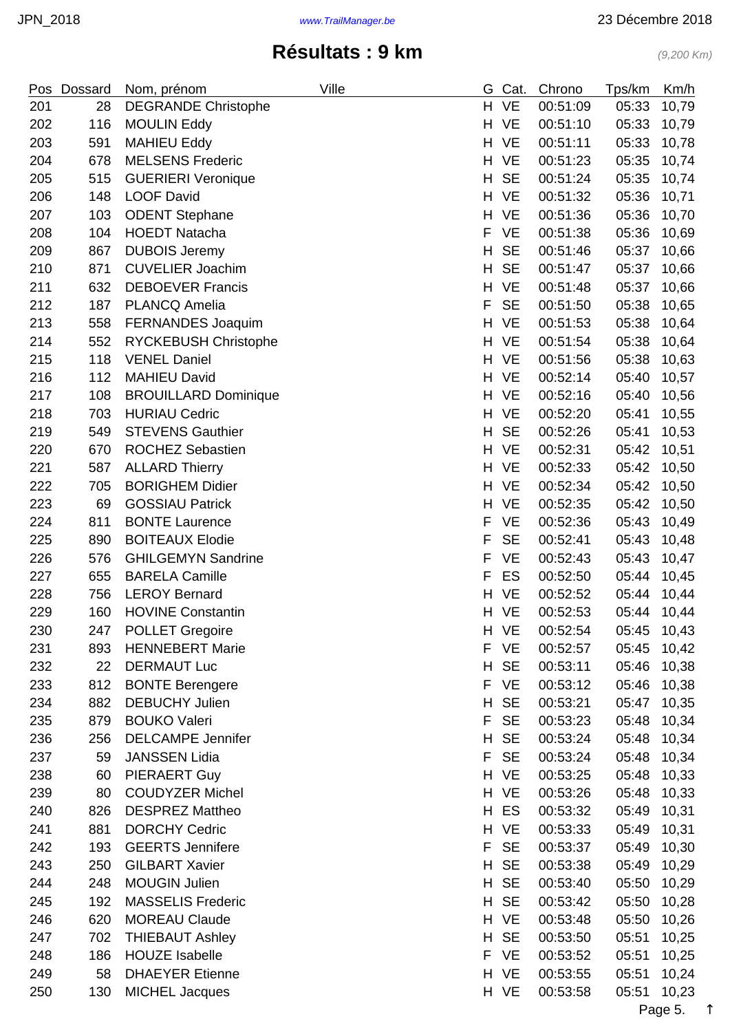| Pos | Dossard | Nom, prénom                 | Ville | G. | Cat.      | Chrono   | Tps/km      | Km/h  |
|-----|---------|-----------------------------|-------|----|-----------|----------|-------------|-------|
| 201 | 28      | <b>DEGRANDE Christophe</b>  |       | H. | <b>VE</b> | 00:51:09 | 05:33       | 10,79 |
| 202 | 116     | <b>MOULIN Eddy</b>          |       | H. | <b>VE</b> | 00:51:10 | 05:33       | 10,79 |
| 203 | 591     | <b>MAHIEU Eddy</b>          |       | H. | <b>VE</b> | 00:51:11 | 05:33       | 10,78 |
| 204 | 678     | <b>MELSENS Frederic</b>     |       | Н. | <b>VE</b> | 00:51:23 | 05:35       | 10,74 |
| 205 | 515     | <b>GUERIERI Veronique</b>   |       | H  | <b>SE</b> | 00:51:24 | 05:35       | 10,74 |
| 206 | 148     | <b>LOOF David</b>           |       | H. | <b>VE</b> | 00:51:32 | 05:36       | 10,71 |
| 207 | 103     | <b>ODENT Stephane</b>       |       | H  | <b>VE</b> | 00:51:36 | 05:36       | 10,70 |
| 208 | 104     | <b>HOEDT Natacha</b>        |       | F  | <b>VE</b> | 00:51:38 | 05:36       | 10,69 |
| 209 | 867     | <b>DUBOIS Jeremy</b>        |       | H  | <b>SE</b> | 00:51:46 | 05:37       | 10,66 |
| 210 | 871     | <b>CUVELIER Joachim</b>     |       | H  | <b>SE</b> | 00:51:47 | 05:37       | 10,66 |
| 211 | 632     | <b>DEBOEVER Francis</b>     |       | H  | <b>VE</b> | 00:51:48 | 05:37       | 10,66 |
| 212 | 187     | <b>PLANCQ Amelia</b>        |       | F  | <b>SE</b> | 00:51:50 | 05:38       | 10,65 |
| 213 | 558     | FERNANDES Joaquim           |       | H  | <b>VE</b> | 00:51:53 | 05:38       | 10,64 |
| 214 | 552     | <b>RYCKEBUSH Christophe</b> |       | H. | <b>VE</b> | 00:51:54 | 05:38       | 10,64 |
| 215 | 118     | <b>VENEL Daniel</b>         |       | H. | <b>VE</b> | 00:51:56 | 05:38       | 10,63 |
| 216 | 112     | <b>MAHIEU David</b>         |       | H. | <b>VE</b> | 00:52:14 | 05:40       | 10,57 |
| 217 | 108     | <b>BROUILLARD Dominique</b> |       | H. | <b>VE</b> | 00:52:16 | 05:40       | 10,56 |
| 218 | 703     | <b>HURIAU Cedric</b>        |       | H  | <b>VE</b> | 00:52:20 | 05:41       | 10,55 |
| 219 | 549     | <b>STEVENS Gauthier</b>     |       | H  | <b>SE</b> | 00:52:26 | 05:41       | 10,53 |
| 220 | 670     | <b>ROCHEZ Sebastien</b>     |       | H  | <b>VE</b> | 00:52:31 | 05:42       | 10,51 |
| 221 | 587     | <b>ALLARD Thierry</b>       |       |    | H VE      | 00:52:33 | 05:42       | 10,50 |
| 222 | 705     | <b>BORIGHEM Didier</b>      |       | H  | <b>VE</b> | 00:52:34 | 05:42       | 10,50 |
| 223 | 69      | <b>GOSSIAU Patrick</b>      |       | H. | <b>VE</b> | 00:52:35 | 05:42       | 10,50 |
| 224 | 811     | <b>BONTE Laurence</b>       |       | F  | <b>VE</b> | 00:52:36 | 05:43       | 10,49 |
| 225 | 890     | <b>BOITEAUX Elodie</b>      |       | F  | <b>SE</b> | 00:52:41 | 05:43       | 10,48 |
| 226 | 576     | <b>GHILGEMYN Sandrine</b>   |       | F  | <b>VE</b> | 00:52:43 | 05:43       | 10,47 |
| 227 | 655     | <b>BARELA Camille</b>       |       | F  | ES        | 00:52:50 | 05:44       | 10,45 |
| 228 | 756     | <b>LEROY Bernard</b>        |       | H. | <b>VE</b> | 00:52:52 | 05:44       | 10,44 |
| 229 | 160     | <b>HOVINE Constantin</b>    |       | H. | <b>VE</b> | 00:52:53 | 05:44 10,44 |       |
| 230 | 247     | <b>POLLET Gregoire</b>      |       | H  | <b>VE</b> | 00:52:54 | 05:45       | 10,43 |
| 231 | 893     | <b>HENNEBERT Marie</b>      |       | F  | <b>VE</b> | 00:52:57 | 05:45       | 10,42 |
| 232 | 22      | <b>DERMAUT Luc</b>          |       | H. | <b>SE</b> | 00:53:11 | 05:46       | 10,38 |
| 233 | 812     | <b>BONTE Berengere</b>      |       | F  | <b>VE</b> | 00:53:12 | 05:46       | 10,38 |
| 234 | 882     | <b>DEBUCHY Julien</b>       |       | H  | <b>SE</b> | 00:53:21 | 05:47       | 10,35 |
| 235 | 879     | <b>BOUKO Valeri</b>         |       | F  | <b>SE</b> | 00:53:23 | 05:48       | 10,34 |
| 236 | 256     | <b>DELCAMPE Jennifer</b>    |       | H  | <b>SE</b> | 00:53:24 | 05:48       | 10,34 |
| 237 | 59      | <b>JANSSEN Lidia</b>        |       | F  | <b>SE</b> | 00:53:24 | 05:48       | 10,34 |
| 238 | 60      | <b>PIERAERT Guy</b>         |       | H. | <b>VE</b> | 00:53:25 | 05:48       | 10,33 |
| 239 | 80      | <b>COUDYZER Michel</b>      |       | H. | <b>VE</b> | 00:53:26 | 05:48       | 10,33 |
| 240 | 826     | <b>DESPREZ Mattheo</b>      |       | H. | ES        | 00:53:32 | 05:49       | 10,31 |
| 241 | 881     | <b>DORCHY Cedric</b>        |       |    | H VE      | 00:53:33 | 05:49       | 10,31 |
| 242 | 193     | <b>GEERTS Jennifere</b>     |       | F  | <b>SE</b> | 00:53:37 | 05:49       | 10,30 |
| 243 | 250     | <b>GILBART Xavier</b>       |       | H  | <b>SE</b> | 00:53:38 | 05:49       | 10,29 |
| 244 | 248     | <b>MOUGIN Julien</b>        |       | H  | <b>SE</b> | 00:53:40 | 05:50       | 10,29 |
| 245 | 192     | <b>MASSELIS Frederic</b>    |       |    | H SE      | 00:53:42 | 05:50       | 10,28 |
|     |         |                             |       |    |           |          |             |       |
| 246 | 620     | <b>MOREAU Claude</b>        |       | H. | <b>VE</b> | 00:53:48 | 05:50       | 10,26 |
| 247 | 702     | <b>THIEBAUT Ashley</b>      |       | H  | <b>SE</b> | 00:53:50 | 05:51       | 10,25 |
| 248 | 186     | <b>HOUZE Isabelle</b>       |       | F  | <b>VE</b> | 00:53:52 | 05:51       | 10,25 |
| 249 | 58      | <b>DHAEYER Etienne</b>      |       |    | H VE      | 00:53:55 | 05:51       | 10,24 |
| 250 | 130     | <b>MICHEL Jacques</b>       |       |    | H VE      | 00:53:58 | 05:51       | 10,23 |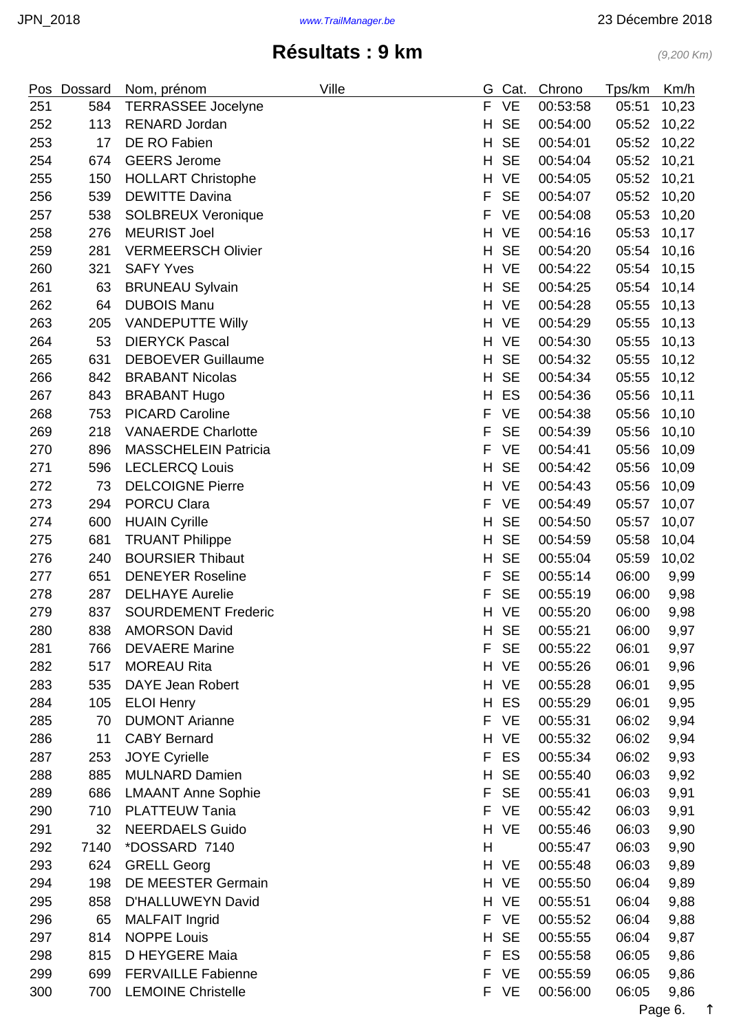|     | Pos Dossard | Nom, prénom                 | Ville | G  | Cat.      | Chrono   | Tps/km | Km/h   |
|-----|-------------|-----------------------------|-------|----|-----------|----------|--------|--------|
| 251 | 584         | <b>TERRASSEE Jocelyne</b>   |       | F. | <b>VE</b> | 00:53:58 | 05:51  | 10,23  |
| 252 | 113         | <b>RENARD Jordan</b>        |       | H  | <b>SE</b> | 00:54:00 | 05:52  | 10,22  |
| 253 | 17          | DE RO Fabien                |       | H  | <b>SE</b> | 00:54:01 | 05:52  | 10,22  |
| 254 | 674         | <b>GEERS Jerome</b>         |       | H  | <b>SE</b> | 00:54:04 | 05:52  | 10,21  |
| 255 | 150         | <b>HOLLART Christophe</b>   |       | H  | <b>VE</b> | 00:54:05 | 05:52  | 10,21  |
| 256 | 539         | <b>DEWITTE Davina</b>       |       | F  | <b>SE</b> | 00:54:07 | 05:52  | 10,20  |
| 257 | 538         | <b>SOLBREUX Veronique</b>   |       | F  | <b>VE</b> | 00:54:08 | 05:53  | 10,20  |
| 258 | 276         | <b>MEURIST Joel</b>         |       | H. | <b>VE</b> | 00:54:16 | 05:53  | 10,17  |
| 259 | 281         | <b>VERMEERSCH Olivier</b>   |       | Н  | <b>SE</b> | 00:54:20 | 05:54  | 10,16  |
| 260 | 321         | <b>SAFY Yves</b>            |       | H  | <b>VE</b> | 00:54:22 | 05:54  | 10,15  |
| 261 | 63          | <b>BRUNEAU Sylvain</b>      |       | H  | <b>SE</b> | 00:54:25 | 05:54  | 10,14  |
| 262 | 64          | <b>DUBOIS Manu</b>          |       |    | H VE      | 00:54:28 | 05:55  | 10, 13 |
| 263 | 205         | <b>VANDEPUTTE Willy</b>     |       | H  | VE        | 00:54:29 | 05:55  | 10, 13 |
| 264 | 53          | <b>DIERYCK Pascal</b>       |       | H. | <b>VE</b> | 00:54:30 | 05:55  | 10, 13 |
| 265 | 631         | <b>DEBOEVER Guillaume</b>   |       | H  | <b>SE</b> | 00:54:32 | 05:55  | 10,12  |
| 266 | 842         | <b>BRABANT Nicolas</b>      |       | H  | <b>SE</b> | 00:54:34 | 05:55  | 10,12  |
| 267 | 843         | <b>BRABANT Hugo</b>         |       | H  | ES        | 00:54:36 | 05:56  | 10,11  |
| 268 | 753         | <b>PICARD Caroline</b>      |       | F  | <b>VE</b> | 00:54:38 | 05:56  | 10, 10 |
| 269 | 218         | <b>VANAERDE Charlotte</b>   |       | F  | <b>SE</b> | 00:54:39 | 05:56  | 10, 10 |
| 270 | 896         | <b>MASSCHELEIN Patricia</b> |       | F  | <b>VE</b> | 00:54:41 | 05:56  | 10,09  |
| 271 | 596         | <b>LECLERCQ Louis</b>       |       | H  | <b>SE</b> | 00:54:42 | 05:56  | 10,09  |
| 272 | 73          | <b>DELCOIGNE Pierre</b>     |       | Н  | <b>VE</b> | 00:54:43 | 05:56  | 10,09  |
| 273 | 294         | <b>PORCU Clara</b>          |       | F  | <b>VE</b> | 00:54:49 | 05:57  | 10,07  |
| 274 | 600         | <b>HUAIN Cyrille</b>        |       | H  | <b>SE</b> | 00:54:50 | 05:57  | 10,07  |
| 275 | 681         | <b>TRUANT Philippe</b>      |       | H  | <b>SE</b> | 00:54:59 | 05:58  | 10,04  |
| 276 | 240         | <b>BOURSIER Thibaut</b>     |       | H  | <b>SE</b> | 00:55:04 | 05:59  | 10,02  |
| 277 | 651         | <b>DENEYER Roseline</b>     |       | F  | <b>SE</b> | 00:55:14 | 06:00  | 9,99   |
| 278 | 287         | <b>DELHAYE Aurelie</b>      |       | F  | <b>SE</b> | 00:55:19 | 06:00  | 9,98   |
| 279 | 837         | <b>SOURDEMENT Frederic</b>  |       | H. | <b>VE</b> | 00:55:20 | 06:00  | 9,98   |
| 280 | 838         | <b>AMORSON David</b>        |       | Н. | <b>SE</b> | 00:55:21 | 06:00  | 9,97   |
| 281 | 766         | <b>DEVAERE Marine</b>       |       | F. | <b>SE</b> | 00:55:22 | 06:01  | 9,97   |
| 282 | 517         | <b>MOREAU Rita</b>          |       |    | H VE      | 00:55:26 | 06:01  | 9,96   |
| 283 | 535         | DAYE Jean Robert            |       | H. | VE        | 00:55:28 | 06:01  | 9,95   |
| 284 | 105         | <b>ELOI Henry</b>           |       | H. | ES        | 00:55:29 | 06:01  | 9,95   |
| 285 | 70          | <b>DUMONT Arianne</b>       |       | F  | VE        | 00:55:31 | 06:02  | 9,94   |
| 286 | 11          | <b>CABY Bernard</b>         |       |    | H VE      | 00:55:32 | 06:02  | 9,94   |
| 287 | 253         | <b>JOYE Cyrielle</b>        |       | F  | ES        | 00:55:34 | 06:02  | 9,93   |
| 288 | 885         | <b>MULNARD Damien</b>       |       | H  | <b>SE</b> | 00:55:40 | 06:03  | 9,92   |
| 289 | 686         | <b>LMAANT Anne Sophie</b>   |       | F  | <b>SE</b> | 00:55:41 | 06:03  | 9,91   |
| 290 | 710         | <b>PLATTEUW Tania</b>       |       | F  | VE        | 00:55:42 | 06:03  | 9,91   |
| 291 | 32          | <b>NEERDAELS Guido</b>      |       | H. | VE        | 00:55:46 | 06:03  | 9,90   |
| 292 | 7140        | *DOSSARD 7140               |       | Н  |           | 00:55:47 | 06:03  | 9,90   |
| 293 | 624         | <b>GRELL Georg</b>          |       |    | H VE      | 00:55:48 | 06:03  | 9,89   |
| 294 | 198         | DE MEESTER Germain          |       | H. | VE        | 00:55:50 | 06:04  | 9,89   |
| 295 | 858         | D'HALLUWEYN David           |       |    | H VE      | 00:55:51 | 06:04  | 9,88   |
| 296 | 65          | <b>MALFAIT Ingrid</b>       |       | F. | <b>VE</b> | 00:55:52 | 06:04  | 9,88   |
| 297 | 814         | <b>NOPPE Louis</b>          |       | H  | <b>SE</b> | 00:55:55 | 06:04  | 9,87   |
| 298 | 815         | D HEYGERE Maia              |       | F  | ES        | 00:55:58 | 06:05  | 9,86   |
| 299 | 699         | <b>FERVAILLE Fabienne</b>   |       | F  | VE        | 00:55:59 | 06:05  | 9,86   |
| 300 | 700         | <b>LEMOINE Christelle</b>   |       | F. | <b>VE</b> | 00:56:00 | 06:05  | 9,86   |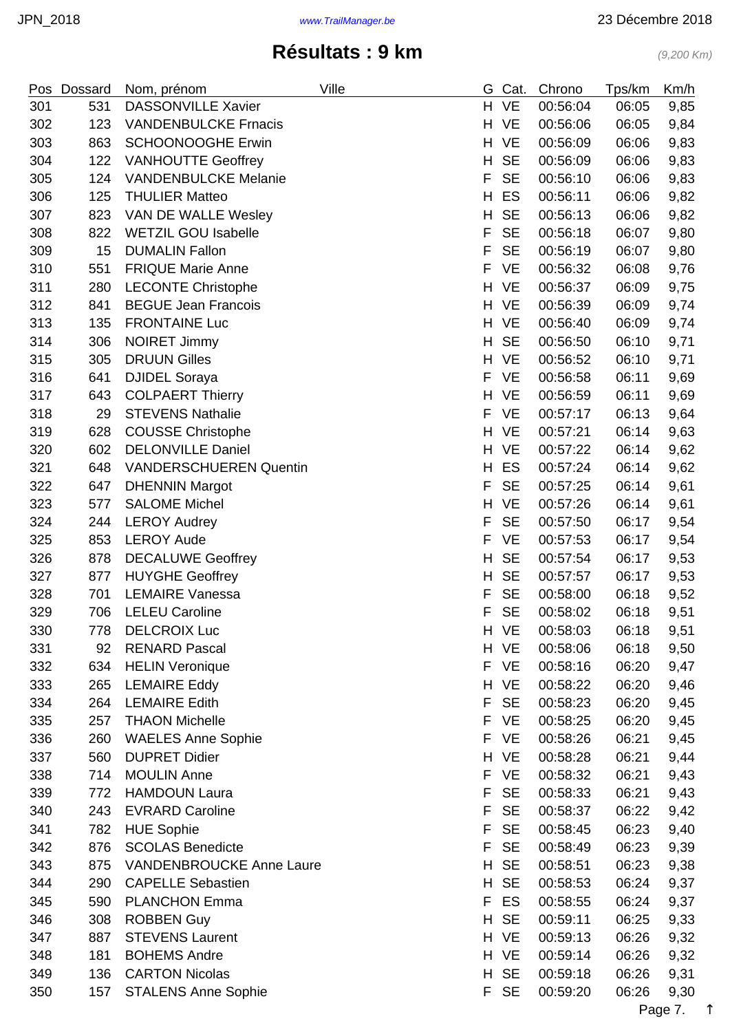|     | Pos Dossard | Nom, prénom                     | Ville | G  | Cat.      | Chrono   | Tps/km | Km/h |
|-----|-------------|---------------------------------|-------|----|-----------|----------|--------|------|
| 301 | 531         | DASSONVILLE Xavier              |       | H. | <b>VE</b> | 00:56:04 | 06:05  | 9,85 |
| 302 | 123         | <b>VANDENBULCKE Frnacis</b>     |       | H. | <b>VE</b> | 00:56:06 | 06:05  | 9,84 |
| 303 | 863         | <b>SCHOONOOGHE Erwin</b>        |       | H. | <b>VE</b> | 00:56:09 | 06:06  | 9,83 |
| 304 | 122         | <b>VANHOUTTE Geoffrey</b>       |       | H. | <b>SE</b> | 00:56:09 | 06:06  | 9,83 |
| 305 | 124         | <b>VANDENBULCKE Melanie</b>     |       | F  | <b>SE</b> | 00:56:10 | 06:06  | 9,83 |
| 306 | 125         | <b>THULIER Matteo</b>           |       | H  | ES        | 00:56:11 | 06:06  | 9,82 |
| 307 | 823         | VAN DE WALLE Wesley             |       | H  | <b>SE</b> | 00:56:13 | 06:06  | 9,82 |
| 308 | 822         | <b>WETZIL GOU Isabelle</b>      |       | F  | <b>SE</b> | 00:56:18 | 06:07  | 9,80 |
| 309 | 15          | <b>DUMALIN Fallon</b>           |       | F  | <b>SE</b> | 00:56:19 | 06:07  | 9,80 |
| 310 | 551         | <b>FRIQUE Marie Anne</b>        |       | F  | <b>VE</b> | 00:56:32 | 06:08  | 9,76 |
| 311 | 280         | <b>LECONTE Christophe</b>       |       | H  | <b>VE</b> | 00:56:37 | 06:09  | 9,75 |
| 312 | 841         | <b>BEGUE Jean Francois</b>      |       | H  | VE        | 00:56:39 | 06:09  | 9,74 |
| 313 | 135         | <b>FRONTAINE Luc</b>            |       | H. | <b>VE</b> | 00:56:40 | 06:09  | 9,74 |
| 314 | 306         | <b>NOIRET Jimmy</b>             |       | H  | <b>SE</b> | 00:56:50 | 06:10  | 9,71 |
| 315 | 305         | <b>DRUUN Gilles</b>             |       | H. | VE        | 00:56:52 | 06:10  | 9,71 |
| 316 | 641         | <b>DJIDEL Soraya</b>            |       | F  | <b>VE</b> | 00:56:58 | 06:11  | 9,69 |
| 317 | 643         | <b>COLPAERT Thierry</b>         |       |    | H VE      | 00:56:59 | 06:11  | 9,69 |
| 318 | 29          | <b>STEVENS Nathalie</b>         |       | F  | <b>VE</b> | 00:57:17 | 06:13  | 9,64 |
| 319 | 628         | <b>COUSSE Christophe</b>        |       | H  | VE        | 00:57:21 | 06:14  | 9,63 |
| 320 | 602         | <b>DELONVILLE Daniel</b>        |       | H  | <b>VE</b> | 00:57:22 | 06:14  | 9,62 |
| 321 | 648         | <b>VANDERSCHUEREN Quentin</b>   |       | H. | ES        | 00:57:24 | 06:14  | 9,62 |
| 322 | 647         | <b>DHENNIN Margot</b>           |       | F  | <b>SE</b> | 00:57:25 | 06:14  | 9,61 |
| 323 | 577         | <b>SALOME Michel</b>            |       | H  | <b>VE</b> | 00:57:26 | 06:14  | 9,61 |
| 324 | 244         | <b>LEROY Audrey</b>             |       | F  | <b>SE</b> | 00:57:50 | 06:17  | 9,54 |
| 325 | 853         | <b>LEROY Aude</b>               |       | F  | <b>VE</b> | 00:57:53 | 06:17  | 9,54 |
| 326 | 878         | <b>DECALUWE Geoffrey</b>        |       | H  | <b>SE</b> | 00:57:54 | 06:17  | 9,53 |
| 327 | 877         | <b>HUYGHE Geoffrey</b>          |       | H  | <b>SE</b> | 00:57:57 | 06:17  | 9,53 |
| 328 | 701         | <b>LEMAIRE Vanessa</b>          |       | F  | <b>SE</b> | 00:58:00 | 06:18  | 9,52 |
| 329 | 706         | <b>LELEU Caroline</b>           |       | F  | <b>SE</b> | 00:58:02 | 06:18  | 9,51 |
| 330 | 778         | <b>DELCROIX Luc</b>             |       |    | H VE      | 00:58:03 | 06:18  | 9,51 |
| 331 | 92          | <b>RENARD Pascal</b>            |       |    | H VE      | 00:58:06 | 06:18  | 9,50 |
| 332 | 634         | <b>HELIN Veronique</b>          |       |    | F VE      | 00:58:16 | 06:20  | 9,47 |
| 333 | 265         | <b>LEMAIRE Eddy</b>             |       | H. | <b>VE</b> | 00:58:22 | 06:20  | 9,46 |
| 334 | 264         | <b>LEMAIRE Edith</b>            |       | F  | <b>SE</b> | 00:58:23 | 06:20  | 9,45 |
| 335 | 257         | <b>THAON Michelle</b>           |       | F  | <b>VE</b> | 00:58:25 | 06:20  | 9,45 |
| 336 | 260         | <b>WAELES Anne Sophie</b>       |       | F  | <b>VE</b> | 00:58:26 | 06:21  | 9,45 |
| 337 | 560         | <b>DUPRET Didier</b>            |       | H. | <b>VE</b> | 00:58:28 | 06:21  | 9,44 |
| 338 | 714         | <b>MOULIN Anne</b>              |       | F  | <b>VE</b> | 00:58:32 | 06:21  | 9,43 |
| 339 | 772         | <b>HAMDOUN Laura</b>            |       | F  | <b>SE</b> | 00:58:33 | 06:21  | 9,43 |
| 340 | 243         | <b>EVRARD Caroline</b>          |       | F  | <b>SE</b> | 00:58:37 | 06:22  | 9,42 |
| 341 | 782         | <b>HUE Sophie</b>               |       | F  | <b>SE</b> | 00:58:45 | 06:23  | 9,40 |
| 342 | 876         | <b>SCOLAS Benedicte</b>         |       | F  | <b>SE</b> | 00:58:49 | 06:23  | 9,39 |
| 343 | 875         | <b>VANDENBROUCKE Anne Laure</b> |       | H  | <b>SE</b> | 00:58:51 | 06:23  | 9,38 |
| 344 | 290         | <b>CAPELLE Sebastien</b>        |       | H  | <b>SE</b> | 00:58:53 | 06:24  | 9,37 |
| 345 | 590         | <b>PLANCHON Emma</b>            |       | F  | ES        | 00:58:55 | 06:24  | 9,37 |
| 346 | 308         | <b>ROBBEN Guy</b>               |       | H  | <b>SE</b> | 00:59:11 | 06:25  | 9,33 |
| 347 | 887         | <b>STEVENS Laurent</b>          |       |    | H VE      | 00:59:13 | 06:26  | 9,32 |
| 348 | 181         | <b>BOHEMS Andre</b>             |       | H. | VE        | 00:59:14 | 06:26  | 9,32 |
| 349 | 136         | <b>CARTON Nicolas</b>           |       | H. | <b>SE</b> | 00:59:18 | 06:26  | 9,31 |
| 350 | 157         | <b>STALENS Anne Sophie</b>      |       |    | F SE      | 00:59:20 | 06:26  | 9,30 |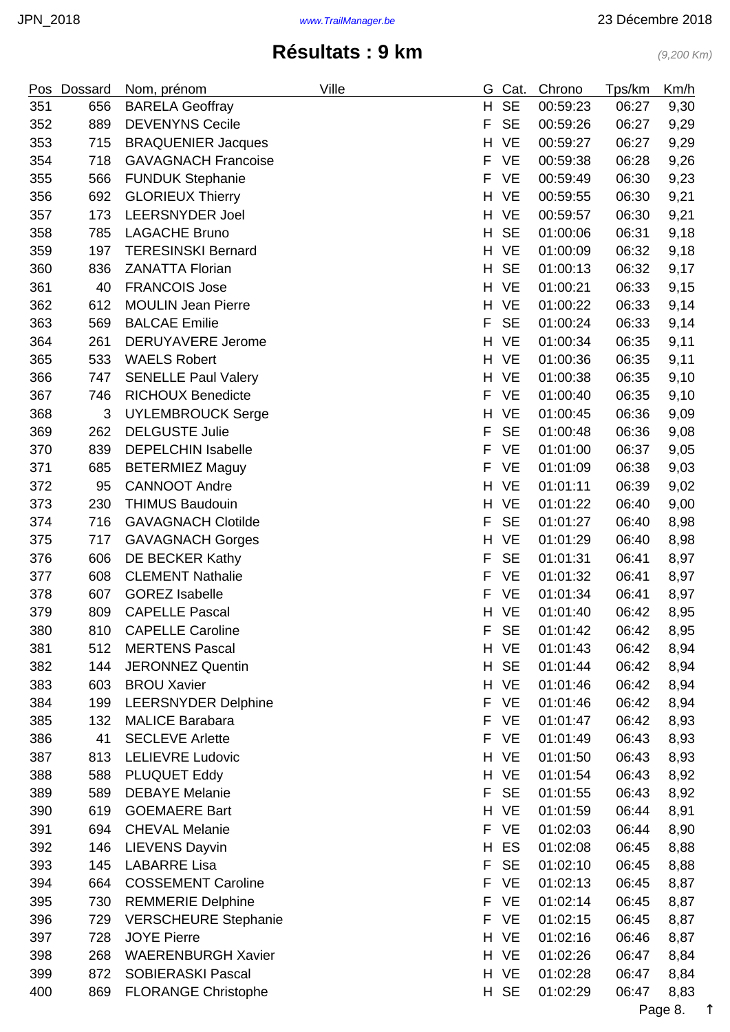| Pos | Dossard | Nom, prénom                 | Ville | G. | Cat.      | Chrono   | Tps/km | Km/h |
|-----|---------|-----------------------------|-------|----|-----------|----------|--------|------|
| 351 | 656     | <b>BARELA Geoffray</b>      |       | H  | <b>SE</b> | 00:59:23 | 06:27  | 9,30 |
| 352 | 889     | <b>DEVENYNS Cecile</b>      |       | F  | <b>SE</b> | 00:59:26 | 06:27  | 9,29 |
| 353 | 715     | <b>BRAQUENIER Jacques</b>   |       | H  | <b>VE</b> | 00:59:27 | 06:27  | 9,29 |
| 354 | 718     | <b>GAVAGNACH Francoise</b>  |       | F  | <b>VE</b> | 00:59:38 | 06:28  | 9,26 |
| 355 | 566     | <b>FUNDUK Stephanie</b>     |       | F  | <b>VE</b> | 00:59:49 | 06:30  | 9,23 |
| 356 | 692     | <b>GLORIEUX Thierry</b>     |       | H  | <b>VE</b> | 00:59:55 | 06:30  | 9,21 |
| 357 | 173     | <b>LEERSNYDER Joel</b>      |       | H  | <b>VE</b> | 00:59:57 | 06:30  | 9,21 |
| 358 | 785     | <b>LAGACHE Bruno</b>        |       | H  | <b>SE</b> | 01:00:06 | 06:31  | 9,18 |
| 359 | 197     | <b>TERESINSKI Bernard</b>   |       | H  | <b>VE</b> | 01:00:09 | 06:32  | 9,18 |
| 360 | 836     | <b>ZANATTA Florian</b>      |       | H  | <b>SE</b> | 01:00:13 | 06:32  | 9,17 |
| 361 | 40      | <b>FRANCOIS Jose</b>        |       | H  | <b>VE</b> | 01:00:21 | 06:33  | 9,15 |
| 362 | 612     | <b>MOULIN Jean Pierre</b>   |       | H. | <b>VE</b> | 01:00:22 | 06:33  | 9,14 |
| 363 | 569     | <b>BALCAE Emilie</b>        |       | F  | <b>SE</b> | 01:00:24 | 06:33  | 9,14 |
| 364 | 261     | <b>DERUYAVERE Jerome</b>    |       | H  | <b>VE</b> | 01:00:34 | 06:35  | 9,11 |
| 365 | 533     | <b>WAELS Robert</b>         |       | H. | <b>VE</b> | 01:00:36 | 06:35  | 9,11 |
| 366 | 747     | <b>SENELLE Paul Valery</b>  |       | H  | <b>VE</b> | 01:00:38 | 06:35  | 9,10 |
| 367 | 746     | <b>RICHOUX Benedicte</b>    |       | F  | <b>VE</b> | 01:00:40 | 06:35  | 9,10 |
| 368 | 3       | <b>UYLEMBROUCK Serge</b>    |       | Н  | <b>VE</b> | 01:00:45 | 06:36  | 9,09 |
| 369 | 262     | <b>DELGUSTE Julie</b>       |       | F  | <b>SE</b> | 01:00:48 | 06:36  | 9,08 |
| 370 | 839     | <b>DEPELCHIN Isabelle</b>   |       | F  | <b>VE</b> | 01:01:00 | 06:37  | 9,05 |
| 371 | 685     | <b>BETERMIEZ Maguy</b>      |       | F  | <b>VE</b> | 01:01:09 | 06:38  | 9,03 |
| 372 | 95      | <b>CANNOOT Andre</b>        |       | H  | <b>VE</b> | 01:01:11 | 06:39  | 9,02 |
| 373 | 230     | <b>THIMUS Baudouin</b>      |       | H  | <b>VE</b> | 01:01:22 | 06:40  | 9,00 |
| 374 | 716     | <b>GAVAGNACH Clotilde</b>   |       | F  | <b>SE</b> | 01:01:27 | 06:40  | 8,98 |
| 375 | 717     | <b>GAVAGNACH Gorges</b>     |       | H  | <b>VE</b> | 01:01:29 | 06:40  | 8,98 |
| 376 | 606     | DE BECKER Kathy             |       | F  | <b>SE</b> | 01:01:31 | 06:41  | 8,97 |
| 377 | 608     | <b>CLEMENT Nathalie</b>     |       | F  | <b>VE</b> | 01:01:32 | 06:41  | 8,97 |
| 378 | 607     | <b>GOREZ Isabelle</b>       |       | F  | <b>VE</b> | 01:01:34 | 06:41  | 8,97 |
| 379 | 809     | <b>CAPELLE Pascal</b>       |       | H. | <b>VE</b> | 01:01:40 | 06:42  | 8,95 |
| 380 | 810     | <b>CAPELLE Caroline</b>     |       | F  | <b>SE</b> | 01:01:42 | 06:42  | 8,95 |
| 381 | 512     | <b>MERTENS Pascal</b>       |       | H  | <b>VE</b> | 01:01:43 | 06:42  | 8,94 |
| 382 | 144     | <b>JERONNEZ Quentin</b>     |       | H. | <b>SE</b> | 01:01:44 | 06:42  | 8,94 |
| 383 | 603     | <b>BROU Xavier</b>          |       | H  | <b>VE</b> | 01:01:46 | 06:42  | 8,94 |
| 384 | 199     | <b>LEERSNYDER Delphine</b>  |       | F  | <b>VE</b> | 01:01:46 | 06:42  | 8,94 |
| 385 | 132     | <b>MALICE Barabara</b>      |       | F  | <b>VE</b> | 01:01:47 | 06:42  | 8,93 |
| 386 | 41      | <b>SECLEVE Arlette</b>      |       | F  | <b>VE</b> | 01:01:49 | 06:43  | 8,93 |
| 387 | 813     | <b>LELIEVRE Ludovic</b>     |       | H. | <b>VE</b> | 01:01:50 | 06:43  | 8,93 |
| 388 | 588     | <b>PLUQUET Eddy</b>         |       | H  | <b>VE</b> | 01:01:54 | 06:43  | 8,92 |
| 389 | 589     | <b>DEBAYE Melanie</b>       |       | F  | <b>SE</b> | 01:01:55 | 06:43  | 8,92 |
| 390 | 619     | <b>GOEMAERE Bart</b>        |       | H  | <b>VE</b> | 01:01:59 | 06:44  | 8,91 |
| 391 | 694     | <b>CHEVAL Melanie</b>       |       | F  | <b>VE</b> | 01:02:03 | 06:44  | 8,90 |
| 392 | 146     | <b>LIEVENS Dayvin</b>       |       | н  | ES        | 01:02:08 | 06:45  | 8,88 |
| 393 | 145     | <b>LABARRE Lisa</b>         |       | F  | <b>SE</b> | 01:02:10 | 06:45  | 8,88 |
| 394 | 664     | <b>COSSEMENT Caroline</b>   |       | F  | <b>VE</b> | 01:02:13 | 06:45  | 8,87 |
| 395 | 730     | <b>REMMERIE Delphine</b>    |       | F  | <b>VE</b> | 01:02:14 | 06:45  | 8,87 |
| 396 | 729     | <b>VERSCHEURE Stephanie</b> |       | F  | <b>VE</b> | 01:02:15 | 06:45  | 8,87 |
| 397 | 728     | <b>JOYE Pierre</b>          |       |    | H VE      | 01:02:16 | 06:46  | 8,87 |
| 398 | 268     | <b>WAERENBURGH Xavier</b>   |       | H. | <b>VE</b> | 01:02:26 | 06:47  | 8,84 |
| 399 | 872     | <b>SOBIERASKI Pascal</b>    |       |    | H VE      | 01:02:28 | 06:47  | 8,84 |
| 400 | 869     | <b>FLORANGE Christophe</b>  |       |    | H SE      | 01:02:29 | 06:47  | 8,83 |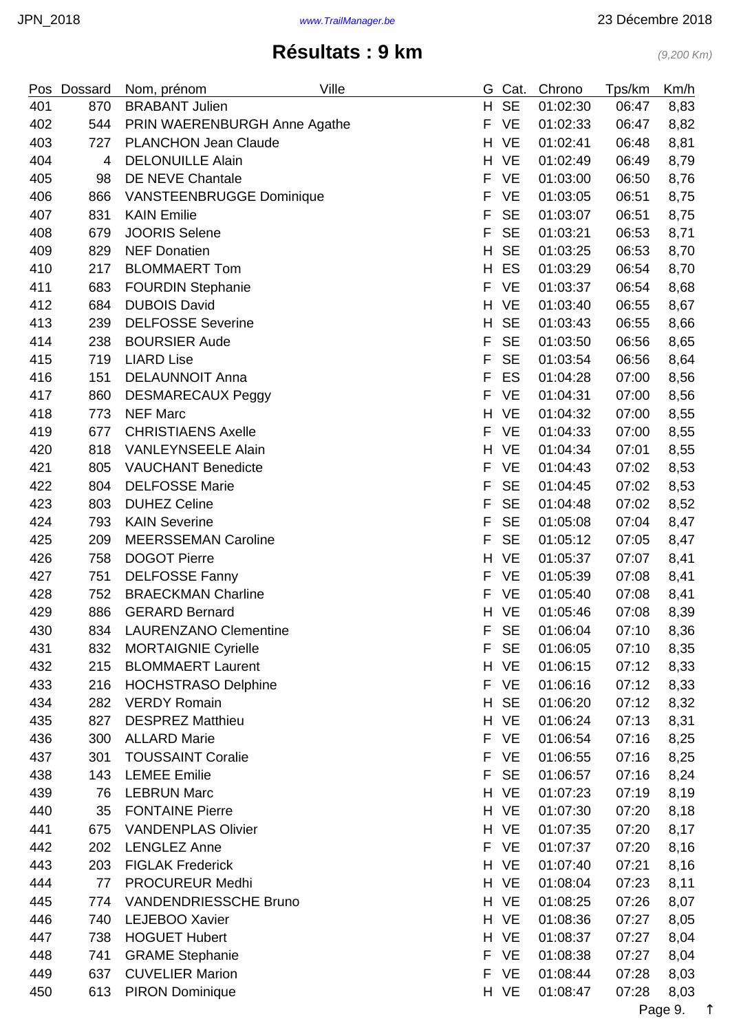|     | Pos Dossard | Ville<br>Nom, prénom                             | G  | Cat.      | Chrono               | Tps/km | Km/h |
|-----|-------------|--------------------------------------------------|----|-----------|----------------------|--------|------|
| 401 | 870         | <b>BRABANT Julien</b>                            | H  | <b>SE</b> | 01:02:30             | 06:47  | 8,83 |
| 402 | 544         | PRIN WAERENBURGH Anne Agathe                     | F  | <b>VE</b> | 01:02:33             | 06:47  | 8,82 |
| 403 | 727         | <b>PLANCHON Jean Claude</b>                      | H. | <b>VE</b> | 01:02:41             | 06:48  | 8,81 |
| 404 | 4           | <b>DELONUILLE Alain</b>                          | H  | <b>VE</b> | 01:02:49             | 06:49  | 8,79 |
| 405 | 98          | DE NEVE Chantale                                 | F  | <b>VE</b> | 01:03:00             | 06:50  | 8,76 |
| 406 | 866         | VANSTEENBRUGGE Dominique                         | F  | <b>VE</b> | 01:03:05             | 06:51  | 8,75 |
| 407 | 831         | <b>KAIN Emilie</b>                               | F  | <b>SE</b> | 01:03:07             | 06:51  | 8,75 |
| 408 | 679         | <b>JOORIS Selene</b>                             | F  | <b>SE</b> | 01:03:21             | 06:53  | 8,71 |
| 409 | 829         | <b>NEF Donatien</b>                              | H  | <b>SE</b> | 01:03:25             | 06:53  | 8,70 |
| 410 | 217         | <b>BLOMMAERT Tom</b>                             | H  | ES        | 01:03:29             | 06:54  | 8,70 |
| 411 | 683         | <b>FOURDIN Stephanie</b>                         | F  | <b>VE</b> | 01:03:37             | 06:54  | 8,68 |
| 412 | 684         | <b>DUBOIS David</b>                              | H. | <b>VE</b> | 01:03:40             | 06:55  | 8,67 |
| 413 | 239         | <b>DELFOSSE Severine</b>                         | H  | <b>SE</b> | 01:03:43             | 06:55  | 8,66 |
| 414 | 238         | <b>BOURSIER Aude</b>                             | F  | <b>SE</b> | 01:03:50             | 06:56  | 8,65 |
| 415 | 719         | <b>LIARD Lise</b>                                | F  | <b>SE</b> | 01:03:54             | 06:56  | 8,64 |
| 416 | 151         | <b>DELAUNNOIT Anna</b>                           | F  | ES        | 01:04:28             | 07:00  | 8,56 |
| 417 | 860         | <b>DESMARECAUX Peggy</b>                         | F  | <b>VE</b> | 01:04:31             | 07:00  | 8,56 |
| 418 | 773         | <b>NEF Marc</b>                                  | H  | <b>VE</b> | 01:04:32             | 07:00  | 8,55 |
| 419 | 677         | <b>CHRISTIAENS Axelle</b>                        | F  | <b>VE</b> | 01:04:33             | 07:00  | 8,55 |
| 420 | 818         | <b>VANLEYNSEELE Alain</b>                        | H  | <b>VE</b> | 01:04:34             | 07:01  | 8,55 |
| 421 | 805         | <b>VAUCHANT Benedicte</b>                        | F  | <b>VE</b> | 01:04:43             | 07:02  | 8,53 |
| 422 | 804         | <b>DELFOSSE Marie</b>                            | F  | <b>SE</b> | 01:04:45             | 07:02  | 8,53 |
| 423 | 803         | <b>DUHEZ Celine</b>                              | F  | <b>SE</b> | 01:04:48             | 07:02  | 8,52 |
| 424 | 793         | <b>KAIN Severine</b>                             | F  | <b>SE</b> | 01:05:08             | 07:04  | 8,47 |
| 425 | 209         | <b>MEERSSEMAN Caroline</b>                       | F  | <b>SE</b> | 01:05:12             | 07:05  | 8,47 |
| 426 | 758         | <b>DOGOT Pierre</b>                              | H  | <b>VE</b> | 01:05:37             | 07:07  | 8,41 |
| 427 | 751         | <b>DELFOSSE Fanny</b>                            | F  | <b>VE</b> | 01:05:39             | 07:08  | 8,41 |
| 428 | 752         | <b>BRAECKMAN Charline</b>                        | F  | <b>VE</b> | 01:05:40             | 07:08  | 8,41 |
| 429 | 886         | <b>GERARD Bernard</b>                            |    | H VE      | 01:05:46             | 07:08  | 8,39 |
| 430 | 834         | <b>LAURENZANO Clementine</b>                     | F  | <b>SE</b> | 01:06:04             | 07:10  | 8,36 |
| 431 | 832         | <b>MORTAIGNIE Cyrielle</b>                       | F  | <b>SE</b> | 01:06:05             | 07:10  | 8,35 |
| 432 | 215         | <b>BLOMMAERT Laurent</b>                         |    | H VE      | 01:06:15             | 07:12  | 8,33 |
| 433 | 216         | <b>HOCHSTRASO Delphine</b>                       | F  | <b>VE</b> | 01:06:16             | 07:12  | 8,33 |
| 434 | 282         | <b>VERDY Romain</b>                              | H  | <b>SE</b> | 01:06:20             | 07:12  | 8,32 |
| 435 | 827         | <b>DESPREZ Matthieu</b>                          | H. | <b>VE</b> | 01:06:24             | 07:13  | 8,31 |
| 436 | 300         | <b>ALLARD Marie</b>                              | F  | <b>VE</b> | 01:06:54             | 07:16  | 8,25 |
| 437 | 301         | <b>TOUSSAINT Coralie</b>                         | F  | <b>VE</b> | 01:06:55             | 07:16  | 8,25 |
| 438 | 143         | <b>LEMEE</b> Emilie                              | F  | <b>SE</b> | 01:06:57             | 07:16  | 8,24 |
| 439 | 76          | <b>LEBRUN Marc</b>                               | H  | <b>VE</b> | 01:07:23             | 07:19  | 8,19 |
| 440 | 35          | <b>FONTAINE Pierre</b>                           | H. | VE        | 01:07:30             | 07:20  | 8,18 |
| 441 | 675         | <b>VANDENPLAS Olivier</b>                        |    | H VE      | 01:07:35             | 07:20  | 8,17 |
| 442 | 202         | <b>LENGLEZ Anne</b>                              | F  | <b>VE</b> | 01:07:37             | 07:20  | 8,16 |
| 443 | 203         | <b>FIGLAK Frederick</b>                          |    | H VE      | 01:07:40             | 07:21  | 8,16 |
| 444 | 77          | <b>PROCUREUR Medhi</b>                           | H. | <b>VE</b> | 01:08:04             | 07:23  | 8,11 |
| 445 | 774         | <b>VANDENDRIESSCHE Bruno</b>                     |    | H VE      | 01:08:25             | 07:26  |      |
| 446 | 740         | LEJEBOO Xavier                                   | H. | <b>VE</b> | 01:08:36             | 07:27  | 8,07 |
| 447 | 738         | <b>HOGUET Hubert</b>                             |    | H VE      |                      | 07:27  | 8,05 |
|     |             |                                                  | F  | <b>VE</b> | 01:08:37<br>01:08:38 |        | 8,04 |
| 448 | 741         | <b>GRAME Stephanie</b><br><b>CUVELIER Marion</b> | F  | <b>VE</b> |                      | 07:27  | 8,04 |
| 449 | 637         |                                                  |    |           | 01:08:44             | 07:28  | 8,03 |
| 450 | 613         | <b>PIRON Dominique</b>                           |    | H VE      | 01:08:47             | 07:28  | 8,03 |

Page 9. [↑](#page-0-0)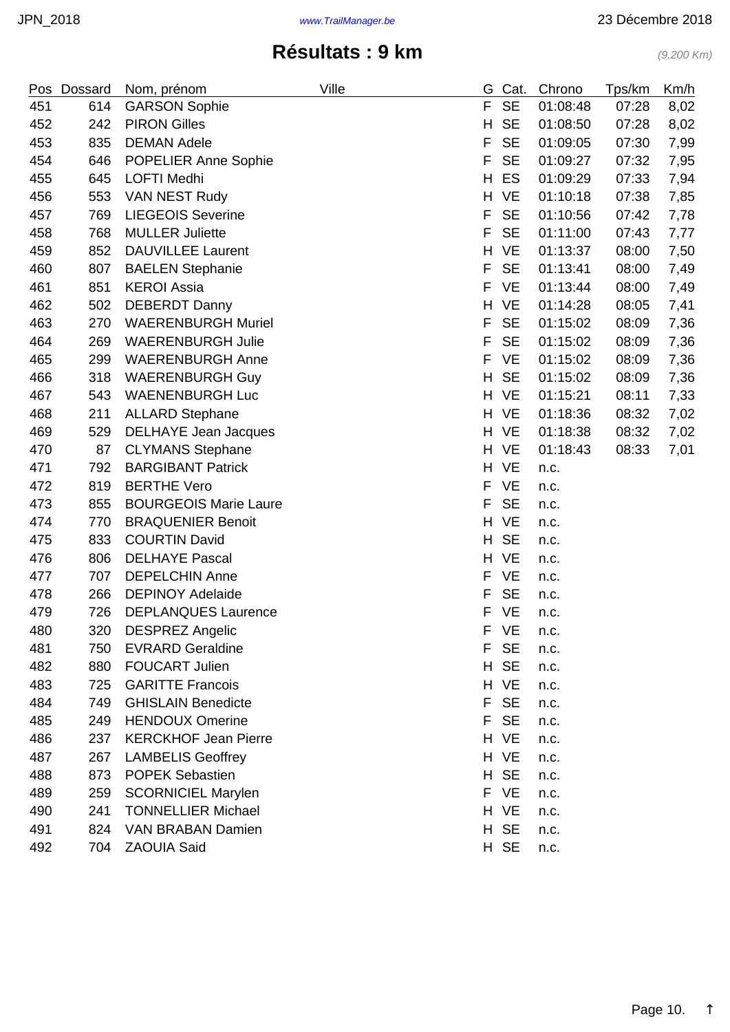|     | Pos Dossard | Nom, prénom                  | Ville | G. | Cat.      | Chrono   | Tps/km | Km/h |
|-----|-------------|------------------------------|-------|----|-----------|----------|--------|------|
| 451 | 614         | <b>GARSON Sophie</b>         |       | F  | <b>SE</b> | 01:08:48 | 07:28  | 8,02 |
| 452 | 242         | <b>PIRON Gilles</b>          |       | H  | <b>SE</b> | 01:08:50 | 07:28  | 8,02 |
| 453 | 835         | <b>DEMAN Adele</b>           |       | F  | <b>SE</b> | 01:09:05 | 07:30  | 7,99 |
| 454 | 646         | POPELIER Anne Sophie         |       | F  | <b>SE</b> | 01:09:27 | 07:32  | 7,95 |
| 455 | 645         | <b>LOFTI Medhi</b>           |       | H  | ES        | 01:09:29 | 07:33  | 7,94 |
| 456 | 553         | VAN NEST Rudy                |       | H  | <b>VE</b> | 01:10:18 | 07:38  | 7,85 |
| 457 | 769         | <b>LIEGEOIS Severine</b>     |       | F  | <b>SE</b> | 01:10:56 | 07:42  | 7,78 |
| 458 | 768         | <b>MULLER Juliette</b>       |       | F  | <b>SE</b> | 01:11:00 | 07:43  | 7,77 |
| 459 | 852         | <b>DAUVILLEE Laurent</b>     |       | H  | <b>VE</b> | 01:13:37 | 08:00  | 7,50 |
| 460 | 807         | <b>BAELEN Stephanie</b>      |       | F  | <b>SE</b> | 01:13:41 | 08:00  | 7,49 |
| 461 | 851         | <b>KEROI Assia</b>           |       | F  | <b>VE</b> | 01:13:44 | 08:00  | 7,49 |
| 462 | 502         | <b>DEBERDT Danny</b>         |       | H  | <b>VE</b> | 01:14:28 | 08:05  | 7,41 |
| 463 | 270         | <b>WAERENBURGH Muriel</b>    |       | F  | <b>SE</b> | 01:15:02 | 08:09  | 7,36 |
| 464 | 269         | <b>WAERENBURGH Julie</b>     |       | F  | <b>SE</b> | 01:15:02 | 08:09  | 7,36 |
| 465 | 299         | <b>WAERENBURGH Anne</b>      |       | F  | <b>VE</b> | 01:15:02 | 08:09  | 7,36 |
| 466 | 318         | <b>WAERENBURGH Guy</b>       |       | H  | <b>SE</b> | 01:15:02 | 08:09  | 7,36 |
| 467 | 543         | <b>WAENENBURGH Luc</b>       |       | H. | <b>VE</b> | 01:15:21 | 08:11  | 7,33 |
| 468 | 211         | <b>ALLARD Stephane</b>       |       | H. | <b>VE</b> | 01:18:36 | 08:32  | 7,02 |
| 469 | 529         | <b>DELHAYE Jean Jacques</b>  |       | H. | <b>VE</b> | 01:18:38 | 08:32  | 7,02 |
| 470 | 87          | <b>CLYMANS Stephane</b>      |       | H. | <b>VE</b> | 01:18:43 | 08:33  | 7,01 |
| 471 | 792         | <b>BARGIBANT Patrick</b>     |       |    | H VE      | n.c.     |        |      |
| 472 | 819         | <b>BERTHE Vero</b>           |       | F  | <b>VE</b> | n.c.     |        |      |
| 473 | 855         | <b>BOURGEOIS Marie Laure</b> |       | F  | <b>SE</b> | n.c.     |        |      |
| 474 | 770         | <b>BRAQUENIER Benoit</b>     |       | H  | VE        | n.c.     |        |      |
| 475 | 833         | <b>COURTIN David</b>         |       | H. | <b>SE</b> | n.c.     |        |      |
| 476 | 806         | <b>DELHAYE Pascal</b>        |       | H  | <b>VE</b> | n.c.     |        |      |
| 477 | 707         | <b>DEPELCHIN Anne</b>        |       | F  | <b>VE</b> | n.c.     |        |      |
| 478 | 266         | <b>DEPINOY Adelaide</b>      |       | F  | <b>SE</b> | n.c.     |        |      |
| 479 | 726         | <b>DEPLANQUES Laurence</b>   |       | F  | <b>VE</b> | n.c.     |        |      |
| 480 | 320         | <b>DESPREZ Angelic</b>       |       | F. | VE        | n.c.     |        |      |
| 481 | 750         | <b>EVRARD Geraldine</b>      |       | F. | <b>SE</b> | n.c.     |        |      |
| 482 | 880         | <b>FOUCART Julien</b>        |       | Н. | <b>SE</b> | n.c.     |        |      |
| 483 | 725         | <b>GARITTE Francois</b>      |       | H  | <b>VE</b> | n.c.     |        |      |
| 484 | 749         | <b>GHISLAIN Benedicte</b>    |       | F  | <b>SE</b> | n.c.     |        |      |
| 485 | 249         | <b>HENDOUX Omerine</b>       |       | F  | <b>SE</b> | n.c.     |        |      |
| 486 | 237         | <b>KERCKHOF Jean Pierre</b>  |       |    | H VE      | n.c.     |        |      |
| 487 | 267         | <b>LAMBELIS Geoffrey</b>     |       |    | H VE      | n.c.     |        |      |
| 488 | 873         | <b>POPEK Sebastien</b>       |       | H. | <b>SE</b> | n.c.     |        |      |
| 489 | 259         | <b>SCORNICIEL Marylen</b>    |       | F. | <b>VE</b> | n.c.     |        |      |
| 490 | 241         | <b>TONNELLIER Michael</b>    |       |    | H VE      | n.c.     |        |      |
| 491 | 824         | <b>VAN BRABAN Damien</b>     |       | H. | <b>SE</b> | n.c.     |        |      |
| 492 | 704         | <b>ZAOUIA Said</b>           |       |    | H SE      | n.c.     |        |      |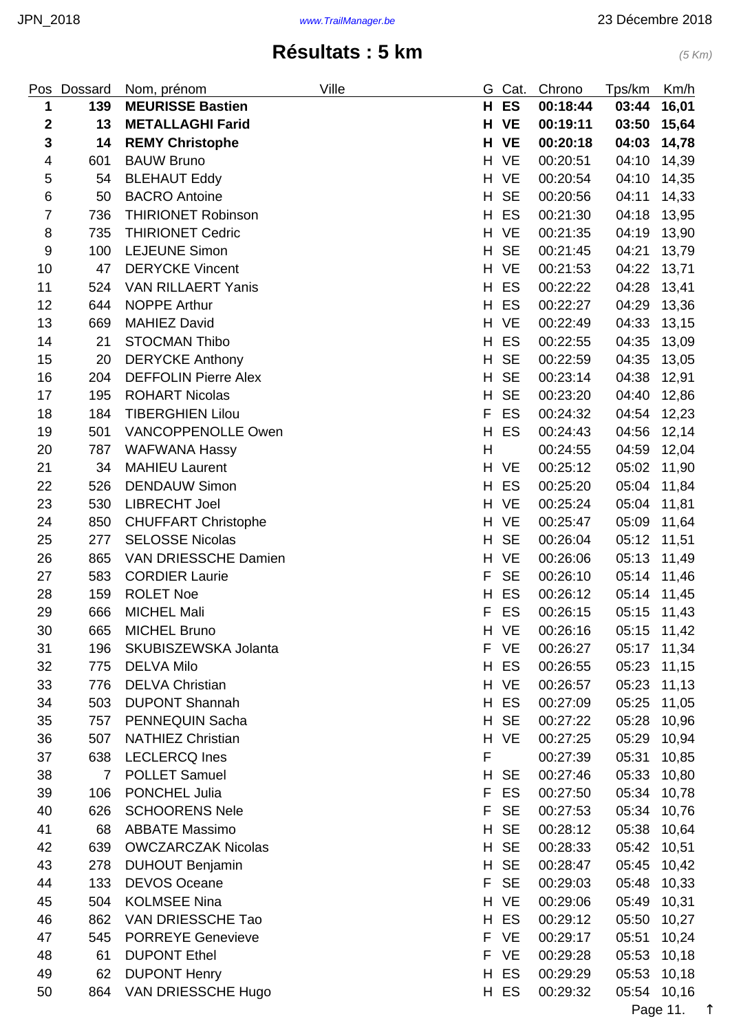| Pos            | Dossard        | Nom, prénom                 | Ville | G  | Cat.      | Chrono   | Tps/km      | Km/h  |
|----------------|----------------|-----------------------------|-------|----|-----------|----------|-------------|-------|
| 1              | 139            | <b>MEURISSE Bastien</b>     |       | H  | <b>ES</b> | 00:18:44 | 03:44       | 16,01 |
| $\mathbf{2}$   | 13             | <b>METALLAGHI Farid</b>     |       |    | H VE      | 00:19:11 | 03:50       | 15,64 |
| $\mathbf 3$    | 14             | <b>REMY Christophe</b>      |       | н  | <b>VE</b> | 00:20:18 | 04:03       | 14,78 |
| $\overline{4}$ | 601            | <b>BAUW Bruno</b>           |       |    | H VE      | 00:20:51 | 04:10       | 14,39 |
| 5              | 54             | <b>BLEHAUT Eddy</b>         |       | H  | <b>VE</b> | 00:20:54 | 04:10       | 14,35 |
| 6              | 50             | <b>BACRO</b> Antoine        |       | H  | <b>SE</b> | 00:20:56 | 04:11       | 14,33 |
| $\overline{7}$ | 736            | <b>THIRIONET Robinson</b>   |       | H  | ES        | 00:21:30 | 04:18       | 13,95 |
| 8              | 735            | <b>THIRIONET Cedric</b>     |       | H  | <b>VE</b> | 00:21:35 | 04:19       | 13,90 |
| 9              | 100            | <b>LEJEUNE Simon</b>        |       | H  | <b>SE</b> | 00:21:45 | 04:21       | 13,79 |
| 10             | 47             | <b>DERYCKE Vincent</b>      |       | H  | <b>VE</b> | 00:21:53 | 04:22       | 13,71 |
| 11             | 524            | <b>VAN RILLAERT Yanis</b>   |       | H  | ES        | 00:22:22 | 04:28       | 13,41 |
| 12             | 644            | <b>NOPPE Arthur</b>         |       | H  | ES        | 00:22:27 | 04:29       | 13,36 |
| 13             | 669            | <b>MAHIEZ David</b>         |       | H. | <b>VE</b> | 00:22:49 | 04:33       | 13,15 |
| 14             | 21             | <b>STOCMAN Thibo</b>        |       | H  | ES        | 00:22:55 | 04:35       | 13,09 |
| 15             | 20             | <b>DERYCKE Anthony</b>      |       | H  | <b>SE</b> | 00:22:59 | 04:35       | 13,05 |
| 16             | 204            | <b>DEFFOLIN Pierre Alex</b> |       | H  | <b>SE</b> | 00:23:14 | 04:38       | 12,91 |
| 17             | 195            | <b>ROHART Nicolas</b>       |       | H  | <b>SE</b> | 00:23:20 | 04:40       | 12,86 |
| 18             | 184            | <b>TIBERGHIEN Lilou</b>     |       | F  | ES        | 00:24:32 | 04:54       | 12,23 |
| 19             | 501            | <b>VANCOPPENOLLE Owen</b>   |       | H  | ES        | 00:24:43 | 04:56       | 12,14 |
| 20             | 787            | <b>WAFWANA Hassy</b>        |       | H  |           | 00:24:55 | 04:59       | 12,04 |
| 21             | 34             | <b>MAHIEU Laurent</b>       |       | H. | <b>VE</b> | 00:25:12 | 05:02       | 11,90 |
| 22             | 526            | <b>DENDAUW Simon</b>        |       | H  | ES        | 00:25:20 | 05:04       | 11,84 |
| 23             | 530            | <b>LIBRECHT Joel</b>        |       | H  | <b>VE</b> | 00:25:24 | 05:04       | 11,81 |
| 24             | 850            | <b>CHUFFART Christophe</b>  |       | H  | <b>VE</b> | 00:25:47 | 05:09       | 11,64 |
| 25             | 277            | <b>SELOSSE Nicolas</b>      |       | H  | <b>SE</b> | 00:26:04 | 05:12       | 11,51 |
| 26             | 865            | VAN DRIESSCHE Damien        |       | H  | <b>VE</b> | 00:26:06 | 05:13       | 11,49 |
| 27             | 583            | <b>CORDIER Laurie</b>       |       | F  | <b>SE</b> | 00:26:10 | 05:14       | 11,46 |
| 28             | 159            | <b>ROLET Noe</b>            |       | H  | ES        | 00:26:12 | 05:14       | 11,45 |
| 29             | 666            | <b>MICHEL Mali</b>          |       | F  | ES        | 00:26:15 | 05:15 11,43 |       |
| 30             | 665            | <b>MICHEL Bruno</b>         |       |    | H VE      | 00:26:16 | 05:15 11,42 |       |
| 31             | 196            | SKUBISZEWSKA Jolanta        |       | F  | <b>VE</b> | 00:26:27 | 05:17       | 11,34 |
| 32             | 775            | <b>DELVA Milo</b>           |       | H  | ES        | 00:26:55 | 05:23       | 11,15 |
| 33             | 776            | <b>DELVA Christian</b>      |       | H. | <b>VE</b> | 00:26:57 | 05:23       | 11,13 |
| 34             | 503            | <b>DUPONT Shannah</b>       |       | H  | ES        | 00:27:09 | 05:25       | 11,05 |
| 35             | 757            | PENNEQUIN Sacha             |       | H  | <b>SE</b> | 00:27:22 | 05:28       | 10,96 |
| 36             | 507            | <b>NATHIEZ Christian</b>    |       | H  | <b>VE</b> | 00:27:25 | 05:29       | 10,94 |
| 37             | 638            | <b>LECLERCQ Ines</b>        |       | F  |           | 00:27:39 | 05:31       | 10,85 |
| 38             | $\overline{7}$ | <b>POLLET Samuel</b>        |       | H  | <b>SE</b> | 00:27:46 | 05:33       | 10,80 |
| 39             | 106            | PONCHEL Julia               |       | F  | ES        | 00:27:50 | 05:34       | 10,78 |
| 40             | 626            | <b>SCHOORENS Nele</b>       |       | F  | <b>SE</b> | 00:27:53 | 05:34       | 10,76 |
| 41             | 68             | <b>ABBATE Massimo</b>       |       | H  | <b>SE</b> | 00:28:12 | 05:38       | 10,64 |
| 42             | 639            | <b>OWCZARCZAK Nicolas</b>   |       | H  | <b>SE</b> | 00:28:33 | 05:42       | 10,51 |
| 43             | 278            | <b>DUHOUT Benjamin</b>      |       | H  | <b>SE</b> | 00:28:47 | 05:45       | 10,42 |
| 44             | 133            | <b>DEVOS Oceane</b>         |       | F  | <b>SE</b> | 00:29:03 | 05:48       | 10,33 |
| 45             | 504            | <b>KOLMSEE Nina</b>         |       | H. | <b>VE</b> | 00:29:06 | 05:49       | 10,31 |
| 46             | 862            | VAN DRIESSCHE Tao           |       | H  | ES        | 00:29:12 | 05:50       | 10,27 |
| 47             | 545            | <b>PORREYE Genevieve</b>    |       | F  | <b>VE</b> | 00:29:17 | 05:51       | 10,24 |
| 48             | 61             | <b>DUPONT Ethel</b>         |       | F  | <b>VE</b> | 00:29:28 | 05:53       | 10,18 |
| 49             | 62             | <b>DUPONT Henry</b>         |       | H  | ES        | 00:29:29 | 05:53       | 10,18 |
| 50             | 864            | VAN DRIESSCHE Hugo          |       |    | H ES      | 00:29:32 | 05:54       | 10,16 |

Page 11. [↑](#page-0-0)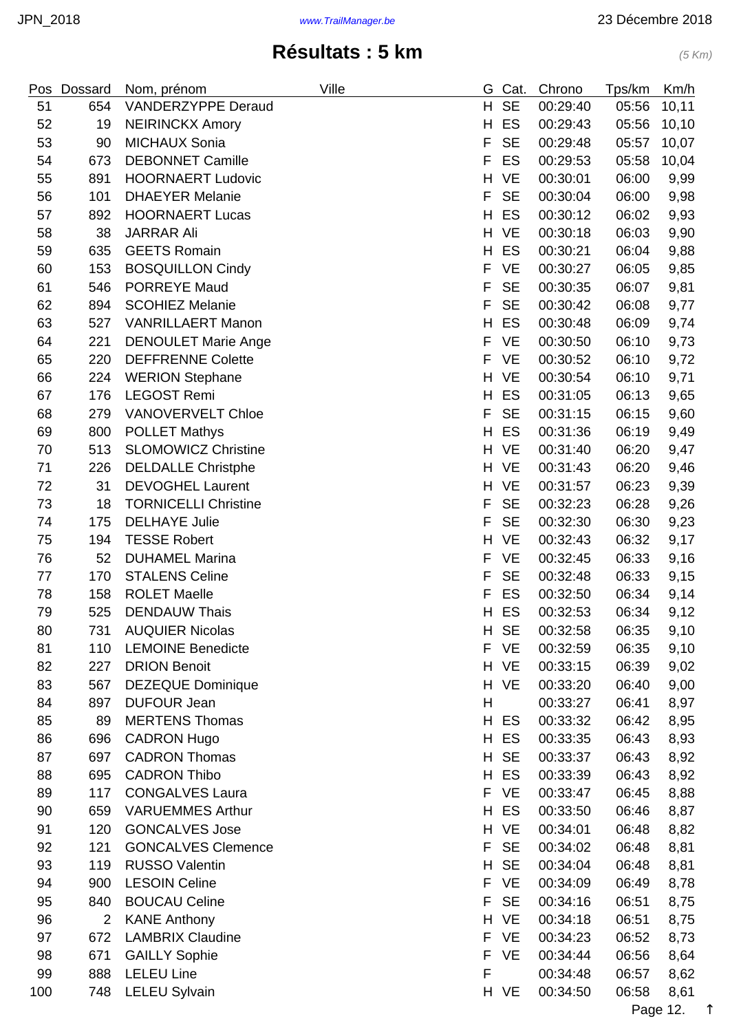| Pos | Dossard        | Nom, prénom                 | Ville | G. | Cat.      | Chrono   | Tps/km | Km/h   |
|-----|----------------|-----------------------------|-------|----|-----------|----------|--------|--------|
| 51  | 654            | <b>VANDERZYPPE Deraud</b>   |       | H. | <b>SE</b> | 00:29:40 | 05:56  | 10,11  |
| 52  | 19             | <b>NEIRINCKX Amory</b>      |       | H  | ES        | 00:29:43 | 05:56  | 10, 10 |
| 53  | 90             | <b>MICHAUX Sonia</b>        |       | F  | <b>SE</b> | 00:29:48 | 05:57  | 10,07  |
| 54  | 673            | <b>DEBONNET Camille</b>     |       | F  | ES        | 00:29:53 | 05:58  | 10,04  |
| 55  | 891            | <b>HOORNAERT Ludovic</b>    |       | Н  | <b>VE</b> | 00:30:01 | 06:00  | 9,99   |
| 56  | 101            | <b>DHAEYER Melanie</b>      |       | F  | <b>SE</b> | 00:30:04 | 06:00  | 9,98   |
| 57  | 892            | <b>HOORNAERT Lucas</b>      |       | H  | ES        | 00:30:12 | 06:02  | 9,93   |
| 58  | 38             | <b>JARRAR Ali</b>           |       | H  | <b>VE</b> | 00:30:18 | 06:03  | 9,90   |
| 59  | 635            | <b>GEETS Romain</b>         |       | H  | ES        | 00:30:21 | 06:04  | 9,88   |
| 60  | 153            | <b>BOSQUILLON Cindy</b>     |       | F  | <b>VE</b> | 00:30:27 | 06:05  | 9,85   |
| 61  | 546            | <b>PORREYE Maud</b>         |       | F  | <b>SE</b> | 00:30:35 | 06:07  | 9,81   |
| 62  | 894            | <b>SCOHIEZ Melanie</b>      |       | F  | <b>SE</b> | 00:30:42 | 06:08  | 9,77   |
| 63  | 527            | <b>VANRILLAERT Manon</b>    |       | Н  | ES        | 00:30:48 | 06:09  | 9,74   |
| 64  | 221            | <b>DENOULET Marie Ange</b>  |       | F  | <b>VE</b> | 00:30:50 | 06:10  | 9,73   |
| 65  | 220            | <b>DEFFRENNE Colette</b>    |       | F  | <b>VE</b> | 00:30:52 | 06:10  | 9,72   |
| 66  | 224            | <b>WERION Stephane</b>      |       | H  | <b>VE</b> | 00:30:54 | 06:10  | 9,71   |
| 67  | 176            | <b>LEGOST Remi</b>          |       | H  | ES        | 00:31:05 | 06:13  | 9,65   |
| 68  | 279            | <b>VANOVERVELT Chloe</b>    |       | F  | <b>SE</b> | 00:31:15 | 06:15  | 9,60   |
| 69  | 800            | <b>POLLET Mathys</b>        |       | H  | ES        | 00:31:36 | 06:19  | 9,49   |
| 70  | 513            | <b>SLOMOWICZ Christine</b>  |       | H  | <b>VE</b> | 00:31:40 | 06:20  | 9,47   |
| 71  | 226            | <b>DELDALLE Christphe</b>   |       |    | H VE      | 00:31:43 | 06:20  | 9,46   |
| 72  | 31             | <b>DEVOGHEL Laurent</b>     |       | H  | <b>VE</b> | 00:31:57 | 06:23  | 9,39   |
| 73  | 18             | <b>TORNICELLI Christine</b> |       | F  | <b>SE</b> | 00:32:23 | 06:28  | 9,26   |
| 74  | 175            | <b>DELHAYE Julie</b>        |       | F  | <b>SE</b> | 00:32:30 | 06:30  | 9,23   |
| 75  | 194            | <b>TESSE Robert</b>         |       | H  | <b>VE</b> | 00:32:43 | 06:32  | 9,17   |
| 76  | 52             | <b>DUHAMEL Marina</b>       |       | F  | <b>VE</b> | 00:32:45 | 06:33  | 9,16   |
| 77  | 170            | <b>STALENS Celine</b>       |       | F  | <b>SE</b> | 00:32:48 | 06:33  | 9,15   |
| 78  | 158            | <b>ROLET Maelle</b>         |       | F  | ES        | 00:32:50 | 06:34  | 9,14   |
| 79  | 525            | <b>DENDAUW Thais</b>        |       | H  | ES        | 00:32:53 | 06:34  | 9,12   |
| 80  | 731            | <b>AUQUIER Nicolas</b>      |       | H. | <b>SE</b> | 00:32:58 | 06:35  | 9,10   |
| 81  | 110            | <b>LEMOINE Benedicte</b>    |       | F  | <b>VE</b> | 00:32:59 | 06:35  | 9,10   |
| 82  | 227            | <b>DRION Benoit</b>         |       |    | H VE      | 00:33:15 | 06:39  | 9,02   |
| 83  | 567            | <b>DEZEQUE Dominique</b>    |       |    | H VE      | 00:33:20 | 06:40  | 9,00   |
| 84  | 897            | <b>DUFOUR Jean</b>          |       | H  |           | 00:33:27 | 06:41  | 8,97   |
| 85  | 89             | <b>MERTENS Thomas</b>       |       | H. | ES        | 00:33:32 | 06:42  | 8,95   |
| 86  | 696            | <b>CADRON Hugo</b>          |       | H  | ES        | 00:33:35 | 06:43  | 8,93   |
| 87  | 697            | <b>CADRON Thomas</b>        |       | H  | <b>SE</b> | 00:33:37 | 06:43  | 8,92   |
| 88  | 695            | <b>CADRON Thibo</b>         |       | H  | ES        | 00:33:39 | 06:43  | 8,92   |
| 89  | 117            | <b>CONGALVES Laura</b>      |       | F  | <b>VE</b> | 00:33:47 | 06:45  | 8,88   |
| 90  | 659            | <b>VARUEMMES Arthur</b>     |       | H  | ES        | 00:33:50 | 06:46  | 8,87   |
| 91  | 120            | <b>GONCALVES Jose</b>       |       |    | H VE      | 00:34:01 | 06:48  | 8,82   |
| 92  | 121            | <b>GONCALVES Clemence</b>   |       | F  | <b>SE</b> | 00:34:02 | 06:48  | 8,81   |
| 93  | 119            | <b>RUSSO Valentin</b>       |       | H  | <b>SE</b> | 00:34:04 | 06:48  | 8,81   |
| 94  | 900            | <b>LESOIN Celine</b>        |       | F  | <b>VE</b> | 00:34:09 | 06:49  | 8,78   |
| 95  | 840            | <b>BOUCAU Celine</b>        |       | F  | <b>SE</b> | 00:34:16 | 06:51  | 8,75   |
| 96  | $\overline{2}$ | <b>KANE Anthony</b>         |       | H  | <b>VE</b> | 00:34:18 | 06:51  | 8,75   |
| 97  | 672            | <b>LAMBRIX Claudine</b>     |       | F  | <b>VE</b> | 00:34:23 | 06:52  | 8,73   |
| 98  | 671            | <b>GAILLY Sophie</b>        |       | F  | <b>VE</b> | 00:34:44 | 06:56  | 8,64   |
| 99  | 888            | <b>LELEU Line</b>           |       | F  |           | 00:34:48 | 06:57  | 8,62   |
| 100 | 748            | <b>LELEU Sylvain</b>        |       |    | H VE      | 00:34:50 | 06:58  | 8,61   |

Page 12. [↑](#page-0-0)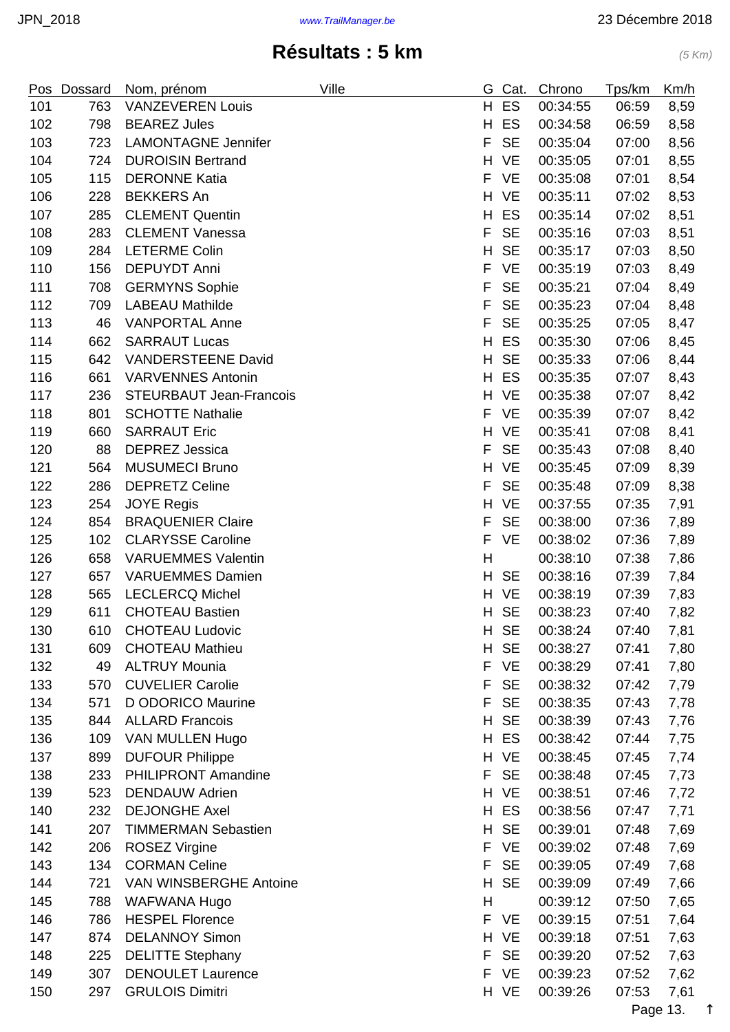| Pos | Dossard | Nom, prénom                    | Ville | G  | Cat.      | Chrono   | Tps/km | Km/h |
|-----|---------|--------------------------------|-------|----|-----------|----------|--------|------|
| 101 | 763     | <b>VANZEVEREN Louis</b>        |       | H. | ES        | 00:34:55 | 06:59  | 8,59 |
| 102 | 798     | <b>BEAREZ Jules</b>            |       | H  | ES        | 00:34:58 | 06:59  | 8,58 |
| 103 | 723     | <b>LAMONTAGNE Jennifer</b>     |       | F  | <b>SE</b> | 00:35:04 | 07:00  | 8,56 |
| 104 | 724     | <b>DUROISIN Bertrand</b>       |       | H  | <b>VE</b> | 00:35:05 | 07:01  | 8,55 |
| 105 | 115     | <b>DERONNE Katia</b>           |       | F  | <b>VE</b> | 00:35:08 | 07:01  | 8,54 |
| 106 | 228     | <b>BEKKERS An</b>              |       | H  | <b>VE</b> | 00:35:11 | 07:02  | 8,53 |
| 107 | 285     | <b>CLEMENT Quentin</b>         |       | H  | ES        | 00:35:14 | 07:02  | 8,51 |
| 108 | 283     | <b>CLEMENT Vanessa</b>         |       | F  | <b>SE</b> | 00:35:16 | 07:03  | 8,51 |
| 109 | 284     | <b>LETERME Colin</b>           |       | H  | <b>SE</b> | 00:35:17 | 07:03  | 8,50 |
| 110 | 156     | <b>DEPUYDT Anni</b>            |       | F  | <b>VE</b> | 00:35:19 | 07:03  | 8,49 |
| 111 | 708     | <b>GERMYNS Sophie</b>          |       | F  | <b>SE</b> | 00:35:21 | 07:04  | 8,49 |
| 112 | 709     | <b>LABEAU Mathilde</b>         |       | F  | <b>SE</b> | 00:35:23 | 07:04  | 8,48 |
| 113 | 46      | <b>VANPORTAL Anne</b>          |       | F  | <b>SE</b> | 00:35:25 | 07:05  | 8,47 |
| 114 | 662     | <b>SARRAUT Lucas</b>           |       | H  | ES        | 00:35:30 | 07:06  | 8,45 |
| 115 | 642     | <b>VANDERSTEENE David</b>      |       | H  | <b>SE</b> | 00:35:33 | 07:06  | 8,44 |
| 116 | 661     | <b>VARVENNES Antonin</b>       |       | H  | ES        | 00:35:35 | 07:07  | 8,43 |
| 117 | 236     | <b>STEURBAUT Jean-Francois</b> |       | H  | <b>VE</b> | 00:35:38 | 07:07  | 8,42 |
| 118 | 801     | <b>SCHOTTE Nathalie</b>        |       | F  | <b>VE</b> | 00:35:39 | 07:07  | 8,42 |
| 119 | 660     | <b>SARRAUT Eric</b>            |       | H  | <b>VE</b> | 00:35:41 | 07:08  | 8,41 |
| 120 | 88      | <b>DEPREZ Jessica</b>          |       | F  | <b>SE</b> | 00:35:43 | 07:08  | 8,40 |
| 121 | 564     | <b>MUSUMECI Bruno</b>          |       | H  | <b>VE</b> | 00:35:45 | 07:09  | 8,39 |
| 122 | 286     | <b>DEPRETZ Celine</b>          |       | F  | <b>SE</b> | 00:35:48 | 07:09  | 8,38 |
| 123 | 254     | <b>JOYE Regis</b>              |       | H  | <b>VE</b> | 00:37:55 | 07:35  | 7,91 |
| 124 | 854     | <b>BRAQUENIER Claire</b>       |       | F  | <b>SE</b> | 00:38:00 | 07:36  | 7,89 |
| 125 | 102     | <b>CLARYSSE Caroline</b>       |       | F  | VE        | 00:38:02 | 07:36  | 7,89 |
| 126 | 658     | <b>VARUEMMES Valentin</b>      |       | H  |           | 00:38:10 | 07:38  | 7,86 |
| 127 | 657     | <b>VARUEMMES Damien</b>        |       | H  | <b>SE</b> | 00:38:16 | 07:39  | 7,84 |
| 128 | 565     | <b>LECLERCQ Michel</b>         |       | H. | <b>VE</b> | 00:38:19 | 07:39  | 7,83 |
| 129 | 611     | <b>CHOTEAU Bastien</b>         |       | H  | <b>SE</b> | 00:38:23 | 07:40  | 7,82 |
| 130 | 610     | <b>CHOTEAU Ludovic</b>         |       |    | H SE      | 00:38:24 | 07:40  | 7,81 |
| 131 | 609     | <b>CHOTEAU Mathieu</b>         |       | H  | <b>SE</b> | 00:38:27 | 07:41  | 7,80 |
| 132 | 49      | <b>ALTRUY Mounia</b>           |       | F  | <b>VE</b> | 00:38:29 | 07:41  | 7,80 |
| 133 | 570     | <b>CUVELIER Carolie</b>        |       | F  | <b>SE</b> | 00:38:32 | 07:42  | 7,79 |
| 134 | 571     | D ODORICO Maurine              |       | F  | <b>SE</b> | 00:38:35 | 07:43  | 7,78 |
| 135 | 844     | <b>ALLARD Francois</b>         |       | H  | <b>SE</b> | 00:38:39 | 07:43  | 7,76 |
| 136 | 109     | VAN MULLEN Hugo                |       | H  | ES        | 00:38:42 | 07:44  | 7,75 |
| 137 | 899     | <b>DUFOUR Philippe</b>         |       | H. | <b>VE</b> | 00:38:45 | 07:45  | 7,74 |
| 138 | 233     | <b>PHILIPRONT Amandine</b>     |       | F  | <b>SE</b> | 00:38:48 | 07:45  | 7,73 |
| 139 | 523     | <b>DENDAUW Adrien</b>          |       | H  | VE        | 00:38:51 | 07:46  | 7,72 |
| 140 | 232     | <b>DEJONGHE Axel</b>           |       | H  | ES        | 00:38:56 | 07:47  | 7,71 |
| 141 | 207     | <b>TIMMERMAN Sebastien</b>     |       | H  | <b>SE</b> | 00:39:01 | 07:48  | 7,69 |
| 142 | 206     | <b>ROSEZ Virgine</b>           |       | F  | <b>VE</b> | 00:39:02 | 07:48  | 7,69 |
| 143 | 134     | <b>CORMAN Celine</b>           |       | F  | <b>SE</b> | 00:39:05 | 07:49  | 7,68 |
| 144 | 721     | VAN WINSBERGHE Antoine         |       | H  | <b>SE</b> | 00:39:09 | 07:49  | 7,66 |
| 145 | 788     | WAFWANA Hugo                   |       | H  |           | 00:39:12 | 07:50  | 7,65 |
| 146 | 786     | <b>HESPEL Florence</b>         |       | F  | <b>VE</b> | 00:39:15 | 07:51  | 7,64 |
| 147 | 874     | <b>DELANNOY Simon</b>          |       | H  | <b>VE</b> | 00:39:18 | 07:51  | 7,63 |
| 148 | 225     | <b>DELITTE Stephany</b>        |       | F  | <b>SE</b> | 00:39:20 | 07:52  | 7,63 |
| 149 | 307     | <b>DENOULET Laurence</b>       |       | F  | <b>VE</b> | 00:39:23 | 07:52  | 7,62 |
| 150 | 297     | <b>GRULOIS Dimitri</b>         |       |    | H VE      | 00:39:26 | 07:53  | 7,61 |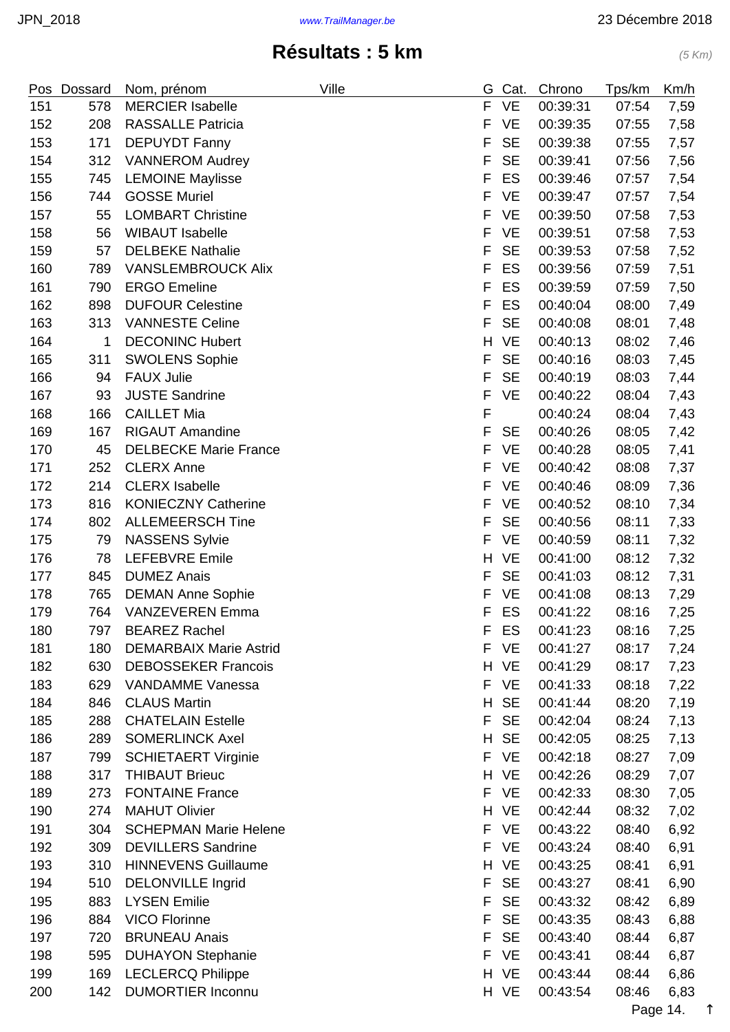| Pos | Dossard | Nom, prénom                   | Ville | G  | Cat.      | Chrono   | Tps/km | Km/h |
|-----|---------|-------------------------------|-------|----|-----------|----------|--------|------|
| 151 | 578     | <b>MERCIER Isabelle</b>       |       | F  | <b>VE</b> | 00:39:31 | 07:54  | 7,59 |
| 152 | 208     | <b>RASSALLE Patricia</b>      |       | F  | <b>VE</b> | 00:39:35 | 07:55  | 7,58 |
| 153 | 171     | <b>DEPUYDT Fanny</b>          |       | F  | <b>SE</b> | 00:39:38 | 07:55  | 7,57 |
| 154 | 312     | <b>VANNEROM Audrey</b>        |       | F  | <b>SE</b> | 00:39:41 | 07:56  | 7,56 |
| 155 | 745     | <b>LEMOINE Maylisse</b>       |       | F  | ES        | 00:39:46 | 07:57  | 7,54 |
| 156 | 744     | <b>GOSSE Muriel</b>           |       | F  | <b>VE</b> | 00:39:47 | 07:57  | 7,54 |
| 157 | 55      | <b>LOMBART Christine</b>      |       | F  | <b>VE</b> | 00:39:50 | 07:58  | 7,53 |
| 158 | 56      | <b>WIBAUT Isabelle</b>        |       | F  | <b>VE</b> | 00:39:51 | 07:58  | 7,53 |
| 159 | 57      | <b>DELBEKE Nathalie</b>       |       | F  | <b>SE</b> | 00:39:53 | 07:58  | 7,52 |
| 160 | 789     | <b>VANSLEMBROUCK Alix</b>     |       | F  | ES        | 00:39:56 | 07:59  | 7,51 |
| 161 | 790     | <b>ERGO Emeline</b>           |       | F  | ES        | 00:39:59 | 07:59  | 7,50 |
| 162 | 898     | <b>DUFOUR Celestine</b>       |       | F  | ES        | 00:40:04 | 08:00  | 7,49 |
| 163 | 313     | <b>VANNESTE Celine</b>        |       | F  | <b>SE</b> | 00:40:08 | 08:01  | 7,48 |
| 164 | 1       | <b>DECONINC Hubert</b>        |       | H  | <b>VE</b> | 00:40:13 | 08:02  | 7,46 |
| 165 | 311     | <b>SWOLENS Sophie</b>         |       | F  | <b>SE</b> | 00:40:16 | 08:03  | 7,45 |
| 166 | 94      | <b>FAUX Julie</b>             |       | F  | <b>SE</b> | 00:40:19 | 08:03  | 7,44 |
| 167 | 93      | <b>JUSTE Sandrine</b>         |       | F  | <b>VE</b> | 00:40:22 | 08:04  | 7,43 |
| 168 | 166     | <b>CAILLET Mia</b>            |       | F  |           | 00:40:24 | 08:04  | 7,43 |
| 169 | 167     | <b>RIGAUT Amandine</b>        |       | F  | <b>SE</b> | 00:40:26 | 08:05  | 7,42 |
| 170 | 45      | <b>DELBECKE Marie France</b>  |       | F  | <b>VE</b> | 00:40:28 | 08:05  | 7,41 |
| 171 | 252     | <b>CLERX Anne</b>             |       | F  | <b>VE</b> | 00:40:42 | 08:08  | 7,37 |
| 172 | 214     | <b>CLERX</b> Isabelle         |       | F  | <b>VE</b> | 00:40:46 | 08:09  | 7,36 |
| 173 | 816     | <b>KONIECZNY Catherine</b>    |       | F  | <b>VE</b> | 00:40:52 | 08:10  | 7,34 |
| 174 | 802     | <b>ALLEMEERSCH Tine</b>       |       | F  | <b>SE</b> | 00:40:56 | 08:11  | 7,33 |
| 175 | 79      | <b>NASSENS Sylvie</b>         |       | F  | <b>VE</b> | 00:40:59 | 08:11  | 7,32 |
| 176 | 78      | LEFEBVRE Emile                |       | H  | <b>VE</b> | 00:41:00 | 08:12  | 7,32 |
| 177 | 845     | <b>DUMEZ Anais</b>            |       | F  | <b>SE</b> | 00:41:03 | 08:12  | 7,31 |
| 178 | 765     | <b>DEMAN Anne Sophie</b>      |       | F  | VE        | 00:41:08 | 08:13  | 7,29 |
| 179 | 764     | <b>VANZEVEREN Emma</b>        |       | F  | ES        | 00:41:22 | 08:16  | 7,25 |
| 180 | 797     | <b>BEAREZ Rachel</b>          |       | F  | ES        | 00:41:23 | 08:16  | 7,25 |
| 181 | 180     | <b>DEMARBAIX Marie Astrid</b> |       | F  | <b>VE</b> | 00:41:27 | 08:17  | 7,24 |
| 182 | 630     | <b>DEBOSSEKER Francois</b>    |       | H. | <b>VE</b> | 00:41:29 | 08:17  | 7,23 |
| 183 | 629     | <b>VANDAMME Vanessa</b>       |       | F. | <b>VE</b> | 00:41:33 | 08:18  | 7,22 |
| 184 | 846     | <b>CLAUS Martin</b>           |       | H  | <b>SE</b> | 00:41:44 | 08:20  | 7,19 |
| 185 | 288     | <b>CHATELAIN Estelle</b>      |       | F  | <b>SE</b> | 00:42:04 | 08:24  | 7,13 |
| 186 | 289     | <b>SOMERLINCK Axel</b>        |       | H  | <b>SE</b> | 00:42:05 | 08:25  | 7,13 |
| 187 | 799     | <b>SCHIETAERT Virginie</b>    |       | F  | <b>VE</b> | 00:42:18 | 08:27  | 7,09 |
| 188 | 317     | <b>THIBAUT Brieuc</b>         |       | H  | <b>VE</b> | 00:42:26 | 08:29  | 7,07 |
| 189 | 273     | <b>FONTAINE France</b>        |       | F. | <b>VE</b> | 00:42:33 | 08:30  | 7,05 |
| 190 | 274     | <b>MAHUT Olivier</b>          |       | H  | <b>VE</b> | 00:42:44 | 08:32  | 7,02 |
| 191 | 304     | <b>SCHEPMAN Marie Helene</b>  |       | F  | <b>VE</b> | 00:43:22 | 08:40  | 6,92 |
| 192 | 309     | <b>DEVILLERS Sandrine</b>     |       | F  | <b>VE</b> | 00:43:24 | 08:40  | 6,91 |
| 193 | 310     | <b>HINNEVENS Guillaume</b>    |       | H. | <b>VE</b> | 00:43:25 | 08:41  | 6,91 |
| 194 | 510     | <b>DELONVILLE Ingrid</b>      |       | F  | <b>SE</b> | 00:43:27 | 08:41  | 6,90 |
| 195 | 883     | <b>LYSEN Emilie</b>           |       | F  | <b>SE</b> | 00:43:32 | 08:42  | 6,89 |
| 196 | 884     | <b>VICO Florinne</b>          |       | F  | <b>SE</b> | 00:43:35 | 08:43  | 6,88 |
| 197 | 720     | <b>BRUNEAU Anais</b>          |       | F  | <b>SE</b> | 00:43:40 | 08:44  | 6,87 |
| 198 | 595     | <b>DUHAYON Stephanie</b>      |       | F  | <b>VE</b> | 00:43:41 | 08:44  | 6,87 |
| 199 | 169     | <b>LECLERCQ Philippe</b>      |       | H. | <b>VE</b> | 00:43:44 | 08:44  | 6,86 |
| 200 | 142     | <b>DUMORTIER Inconnu</b>      |       |    | H VE      | 00:43:54 | 08:46  | 6,83 |